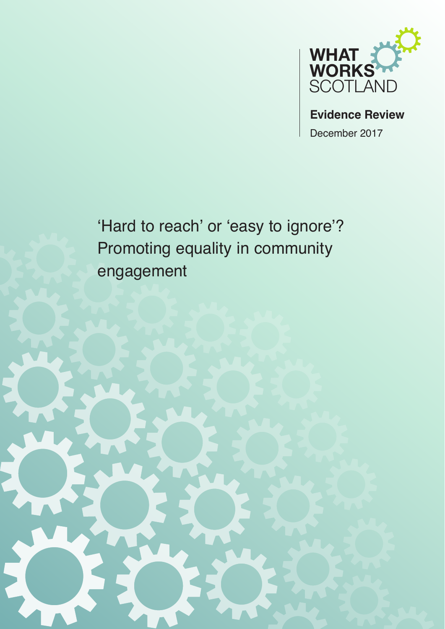

**Evidence Review** December 2017

'Hard to reach' or 'easy to ignore'? Promoting equality in community engagement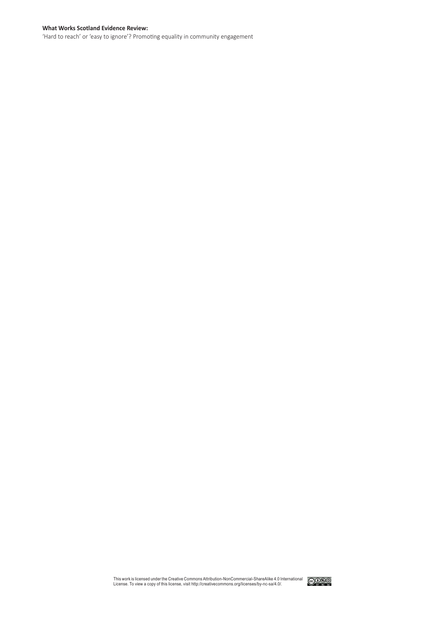#### **What Works Scotland Evidence Review:**

'Hard to reach' or 'easy to ignore'? Promoting equality in community engagement

This work is licensed under the Creative Commons Attribution-NonCommercial-ShareAlike 4.0 International License. To view a copy of this license, visit http://creativecommons.org/licenses/by-nc-sa/4.0/.

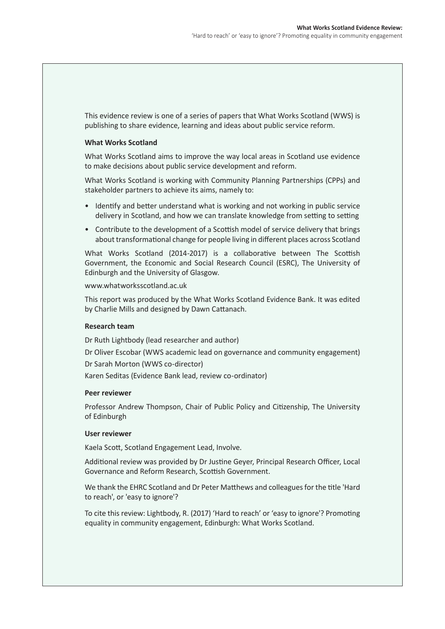This evidence review is one of a series of papers that What Works Scotland (WWS) is publishing to share evidence, learning and ideas about public service reform.

### **What Works Scotland**

What Works Scotland aims to improve the way local areas in Scotland use evidence to make decisions about public service development and reform.

What Works Scotland is working with Community Planning Partnerships (CPPs) and stakeholder partners to achieve its aims, namely to:

- Identify and better understand what is working and not working in public service delivery in Scotland, and how we can translate knowledge from setting to setting
- Contribute to the development of a Scottish model of service delivery that brings about transformational change for people living in different places across Scotland

What Works Scotland (2014-2017) is a collaborative between The Scottish Government, the Economic and Social Research Council (ESRC), The University of Edinburgh and the University of Glasgow.

### www.whatworksscotland.ac.uk

This report was produced by the What Works Scotland Evidence Bank. It was edited by Charlie Mills and designed by Dawn Cattanach.

### **Research team**

Dr Ruth Lightbody (lead researcher and author)

Dr Oliver Escobar (WWS academic lead on governance and community engagement)

Dr Sarah Morton (WWS co-director)

Karen Seditas (Evidence Bank lead, review co-ordinator)

### **Peer reviewer**

Professor Andrew Thompson, Chair of Public Policy and Citizenship, The University of Edinburgh

### **User reviewer**

Kaela Scott, Scotland Engagement Lead, Involve.

Additional review was provided by Dr Justine Geyer, Principal Research Officer, Local Governance and Reform Research, Scottish Government.

We thank the EHRC Scotland and Dr Peter Matthews and colleagues for the title 'Hard to reach', or 'easy to ignore'?

To cite this review: Lightbody, R. (2017) 'Hard to reach' or 'easy to ignore'? Promoting equality in community engagement, Edinburgh: What Works Scotland.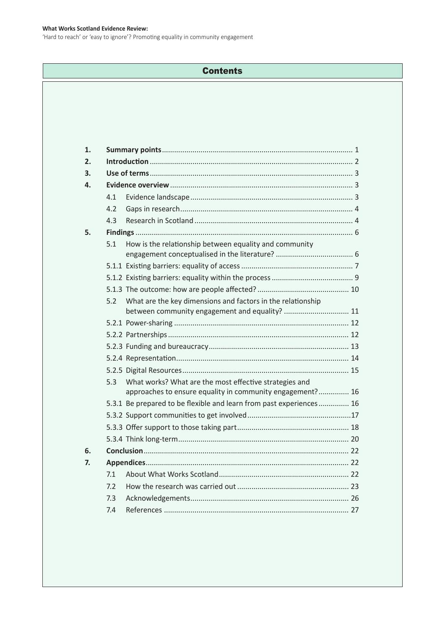### **What Works Scotland Evidence Review:**

'Hard to reach' or 'easy to ignore'? Promoting equality in community engagement

# **Contents**

| 1. |     |                                                                                                                     |  |  |
|----|-----|---------------------------------------------------------------------------------------------------------------------|--|--|
| 2. |     |                                                                                                                     |  |  |
| 3. |     |                                                                                                                     |  |  |
| 4. |     |                                                                                                                     |  |  |
|    | 4.1 |                                                                                                                     |  |  |
|    | 4.2 |                                                                                                                     |  |  |
|    | 4.3 |                                                                                                                     |  |  |
| 5. |     |                                                                                                                     |  |  |
|    | 5.1 | How is the relationship between equality and community                                                              |  |  |
|    |     |                                                                                                                     |  |  |
|    |     |                                                                                                                     |  |  |
|    |     |                                                                                                                     |  |  |
|    | 5.2 | What are the key dimensions and factors in the relationship                                                         |  |  |
|    |     |                                                                                                                     |  |  |
|    |     |                                                                                                                     |  |  |
|    |     |                                                                                                                     |  |  |
|    |     |                                                                                                                     |  |  |
|    |     |                                                                                                                     |  |  |
|    | 5.3 | What works? What are the most effective strategies and<br>approaches to ensure equality in community engagement? 16 |  |  |
|    |     | 5.3.1 Be prepared to be flexible and learn from past experiences 16                                                 |  |  |
|    |     |                                                                                                                     |  |  |
|    |     |                                                                                                                     |  |  |
|    |     |                                                                                                                     |  |  |
| 6. |     |                                                                                                                     |  |  |
| 7. |     |                                                                                                                     |  |  |
|    | 7.1 |                                                                                                                     |  |  |
|    | 7.2 |                                                                                                                     |  |  |
|    | 7.3 |                                                                                                                     |  |  |
|    | 7.4 |                                                                                                                     |  |  |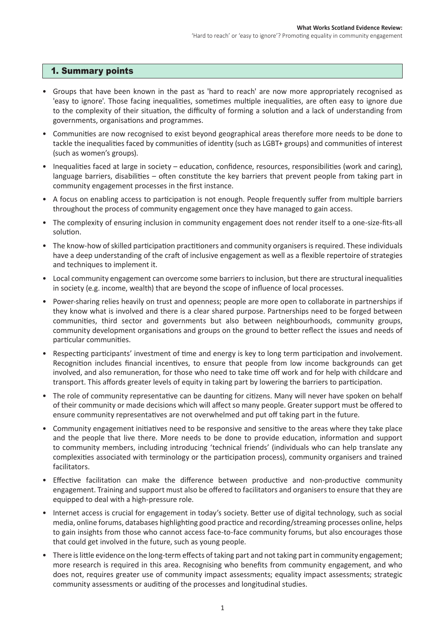## 1. Summary points

- • Groups that have been known in the past as 'hard to reach' are now more appropriately recognised as 'easy to ignore'. Those facing inequalities, sometimes multiple inequalities, are often easy to ignore due to the complexity of their situation, the difficulty of forming a solution and a lack of understanding from governments, organisations and programmes.
- • Communities are now recognised to exist beyond geographical areas therefore more needs to be done to tackle the inequalities faced by communities of identity (such as LGBT+ groups) and communities of interest (such as women's groups).
- Inequalities faced at large in society education, confidence, resources, responsibilities (work and caring), language barriers, disabilities – often constitute the key barriers that prevent people from taking part in community engagement processes in the first instance.
- • A focus on enabling access to participation is not enough. People frequently suffer from multiple barriers throughout the process of community engagement once they have managed to gain access.
- The complexity of ensuring inclusion in community engagement does not render itself to a one-size-fits-all solution.
- The know-how of skilled participation practitioners and community organisers is required. These individuals have a deep understanding of the craft of inclusive engagement as well as a flexible repertoire of strategies and techniques to implement it.
- • Local community engagement can overcome some barriersto inclusion, but there are structural inequalities in society (e.g. income, wealth) that are beyond the scope of influence of local processes.
- Power-sharing relies heavily on trust and openness; people are more open to collaborate in partnerships if they know what is involved and there is a clear shared purpose. Partnerships need to be forged between communities, third sector and governments but also between neighbourhoods, community groups, community development organisations and groups on the ground to better reflect the issues and needs of particular communities.
- • Respecting participants' investment of time and energy is key to long term participation and involvement. Recognition includes financial incentives, to ensure that people from low income backgrounds can get involved, and also remuneration, for those who need to take time off work and for help with childcare and transport. This affords greater levels of equity in taking part by lowering the barriers to participation.
- The role of community representative can be daunting for citizens. Many will never have spoken on behalf of their community or made decisions which will affect so many people. Greater support must be offered to ensure community representatives are not overwhelmed and put off taking part in the future.
- Community engagement initiatives need to be responsive and sensitive to the areas where they take place and the people that live there. More needs to be done to provide education, information and support to community members, including introducing 'technical friends' (individuals who can help translate any complexities associated with terminology or the participation process), community organisers and trained facilitators.
- • Effective facilitation can make the difference between productive and non-productive community engagement. Training and support must also be offered to facilitators and organisers to ensure that they are equipped to deal with a high-pressure role.
- Internet access is crucial for engagement in today's society. Better use of digital technology, such as social media, online forums, databases highlighting good practice and recording/streaming processes online, helps to gain insights from those who cannot access face-to-face community forums, but also encourages those that could get involved in the future, such as young people.
- There is little evidence on the long-term effects of taking part and not taking part in community engagement; more research is required in this area. Recognising who benefits from community engagement, and who does not, requires greater use of community impact assessments; equality impact assessments; strategic community assessments or auditing of the processes and longitudinal studies.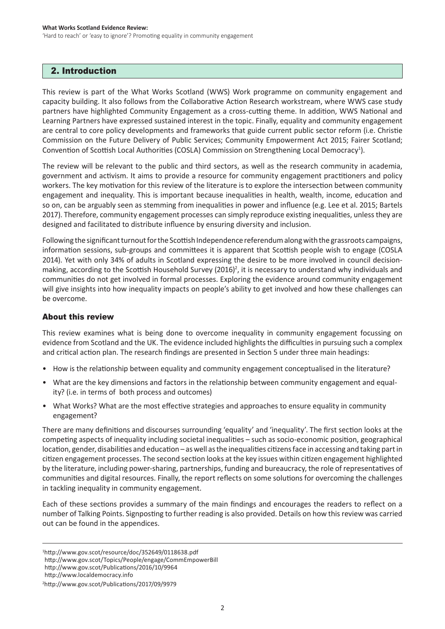## 2. Introduction

This review is part of the What Works Scotland (WWS) Work programme on community engagement and capacity building. It also follows from the Collaborative Action Research workstream, where WWS case study partners have highlighted Community Engagement as a cross-cutting theme. In addition, WWS National and Learning Partners have expressed sustained interest in the topic. Finally, equality and community engagement are central to core policy developments and frameworks that guide current public sector reform (i.e. Christie Commission on the Future Delivery of Public Services; Community Empowerment Act 2015; Fairer Scotland; Convention of Scottish Local Authorities (COSLA) Commission on Strengthening Local Democracy<sup>1</sup>).

The review will be relevant to the public and third sectors, as well as the research community in academia, government and activism. It aims to provide a resource for community engagement practitioners and policy workers. The key motivation for this review of the literature is to explore the intersection between community engagement and inequality. This is important because inequalities in health, wealth, income, education and so on, can be arguably seen as stemming from inequalities in power and influence (e.g. Lee et al. 2015; Bartels 2017). Therefore, community engagement processes can simply reproduce existing inequalities, unless they are designed and facilitated to distribute influence by ensuring diversity and inclusion.

Following the significant turnout for the Scottish Independence referendum along with the grassroots campaigns, information sessions, sub-groups and committees it is apparent that Scottish people wish to engage (COSLA 2014). Yet with only 34% of adults in Scotland expressing the desire to be more involved in council decisionmaking, according to the Scottish Household Survey (2016)<sup>2</sup>, it is necessary to understand why individuals and communities do not get involved in formal processes. Exploring the evidence around community engagement will give insights into how inequality impacts on people's ability to get involved and how these challenges can be overcome.

## About this review

This review examines what is being done to overcome inequality in community engagement focussing on evidence from Scotland and the UK. The evidence included highlights the difficulties in pursuing such a complex and critical action plan. The research findings are presented in Section 5 under three main headings:

- How is the relationship between equality and community engagement conceptualised in the literature?
- What are the key dimensions and factors in the relationship between community engagement and equality? (i.e. in terms of both process and outcomes)
- What Works? What are the most effective strategies and approaches to ensure equality in community engagement?

There are many definitions and discourses surrounding 'equality' and 'inequality'. The first section looks at the competing aspects of inequality including societal inequalities – such as socio-economic position, geographical location, gender, disabilities and education – as well asthe inequalities citizensface in accessing and taking partin citizen engagement processes. The second section looks at the key issues within citizen engagement highlighted by the literature, including power-sharing, partnerships, funding and bureaucracy, the role of representatives of communities and digital resources. Finally, the report reflects on some solutions for overcoming the challenges in tackling inequality in community engagement.

Each of these sections provides a summary of the main findings and encourages the readers to reflect on a number of Talking Points. Signposting to further reading is also provided. Details on how thisreview was carried out can be found in the appendices.

<sup>1</sup> http://www.gov.scot/resource/doc/352649/0118638.pdf http://www.gov.scot/Topics/People/engage/CommEmpowerBill http://www.gov.scot/Publications/2016/10/9964

http://www.localdemocracy.info

<sup>2</sup> http://www.gov.scot/Publications/2017/09/9979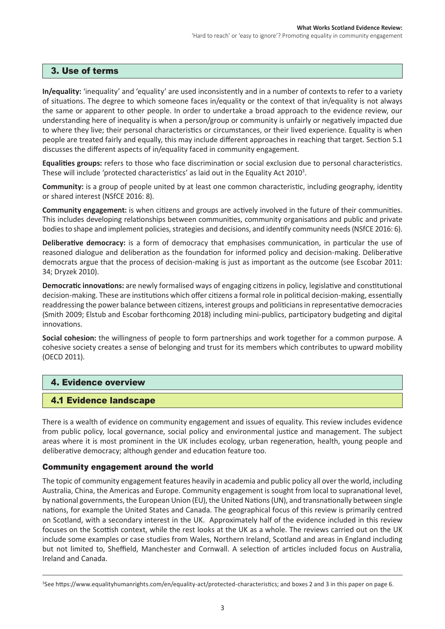## 3. Use of terms

**In/equality:** 'inequality' and 'equality' are used inconsistently and in a number of contexts to refer to a variety of situations. The degree to which someone faces in/equality or the context of that in/equality is not always the same or apparent to other people. In order to undertake a broad approach to the evidence review, our understanding here of inequality is when a person/group or community is unfairly or negatively impacted due to where they live; their personal characteristics or circumstances, or their lived experience. Equality is when people are treated fairly and equally, this may include different approaches in reaching that target. Section 5.1 discusses the different aspects of in/equality faced in community engagement.

**Equalities groups:** refers to those who face discrimination or social exclusion due to personal characteristics. These will include 'protected characteristics' as laid out in the Equality Act 2010<sup>3</sup>.

**Community:** is a group of people united by at least one common characteristic, including geography, identity or shared interest (NSfCE 2016: 8).

**Community engagement:** is when citizens and groups are actively involved in the future of their communities. This includes developing relationships between communities, community organisations and public and private bodies to shape and implement policies, strategies and decisions, and identify community needs (NSfCE 2016: 6).

**Deliberative democracy:** is a form of democracy that emphasises communication, in particular the use of reasoned dialogue and deliberation as the foundation for informed policy and decision-making. Deliberative democrats argue that the process of decision-making is just as important as the outcome (see Escobar 2011: 34; Dryzek 2010).

**Democratic innovations:** are newly formalised ways of engaging citizens in policy, legislative and constitutional decision-making. These are institutions which offer citizens a formal role in political decision-making, essentially readdressing the power balance between citizens, interest groups and politiciansin representative democracies (Smith 2009; Elstub and Escobar forthcoming 2018) including mini-publics, participatory budgeting and digital innovations.

**Social cohesion:** the willingness of people to form partnerships and work together for a common purpose. A cohesive society creates a sense of belonging and trust for its members which contributes to upward mobility (OECD 2011).

# 4. Evidence overview

## 4.1 Evidence landscape

from public policy, local governance, social policy and environmental justice and management. The subject<br>areas where it is most prominent in the UK includes ecology, urban regeneration, health, young people and There is a wealth of evidence on community engagement and issues of equality. This review includes evidence areas where it is most prominent in the UK includes ecology, urban regeneration, health, young people and deliberative democracy; although gender and education feature too.

## Community engagement around the world

The topic of community engagement features heavily in academia and public policy all over the world, including Australia, China, the Americas and Europe. Community engagement is sought from local to supranational level, by national governments, the European Union (EU), the United Nations(UN), and transnationally between single nations, for example the United States and Canada. The geographical focus of this review is primarily centred on Scotland, with a secondary interest in the UK. Approximately half of the evidence included in this review focuses on the Scottish context, while the rest looks at the UK as a whole. The reviews carried out on the UK include some examples or case studies from Wales, Northern Ireland, Scotland and areas in England including but not limited to, Sheffield, Manchester and Cornwall. A selection of articles included focus on Australia, Ireland and Canada.

<sup>3</sup> See https://www.equalityhumanrights.com/en/equality-act/protected-characteristics; and boxes 2 and 3 in this paper on page 6.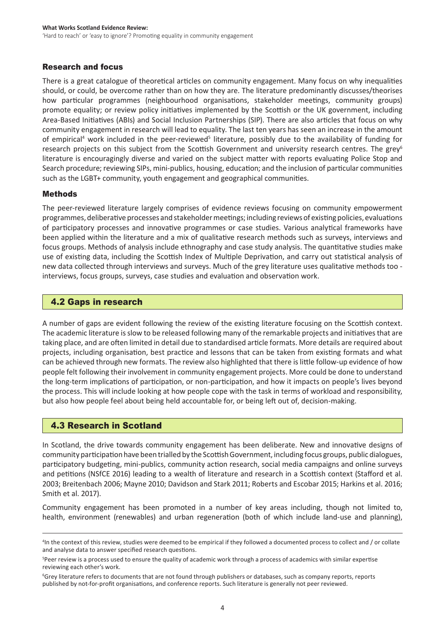## Research and focus

There is a great catalogue of theoretical articles on community engagement. Many focus on why inequalities should, or could, be overcome rather than on how they are. The literature predominantly discusses/theorises how particular programmes (neighbourhood organisations, stakeholder meetings, community groups) promote equality; or review policy initiatives implemented by the Scottish or the UK government, including Area-Based Initiatives (ABIs) and Social Inclusion Partnerships (SIP). There are also articles that focus on why community engagement in research will lead to equality. The last ten years has seen an increase in the amount of empirical<sup>4</sup> work included in the peer-reviewed<sup>5</sup> literature, possibly due to the availability of funding for research projects on this subject from the Scottish Government and university research centres. The grey<sup>6</sup> literature is encouragingly diverse and varied on the subject matter with reports evaluating Police Stop and Search procedure; reviewing SIPs, mini-publics, housing, education; and the inclusion of particular communities such as the LGBT+ community, youth engagement and geographical communities.

## Methods

The peer-reviewed literature largely comprises of evidence reviews focusing on community empowerment programmes, deliberative processes and stakeholder meetings; including reviews of existing policies, evaluations of participatory processes and innovative programmes or case studies. Various analytical frameworks have been applied within the literature and a mix of qualitative research methods such as surveys, interviews and focus groups. Methods of analysis include ethnography and case study analysis. The quantitative studies make use of existing data, including the Scottish Index of Multiple Deprivation, and carry out statistical analysis of new data collected through interviews and surveys. Much of the grey literature uses qualitative methods too interviews, focus groups, surveys, case studies and evaluation and observation work.

## 4.2 Gaps in research

A number of gaps are evident following the review of the existing literature focusing on the Scottish context. The academic literature isslow to be released following many of the remarkable projects and initiativesthat are taking place, and are often limited in detail due to standardised article formats. More details are required about projects, including organisation, best practice and lessons that can be taken from existing formats and what can be achieved through new formats. The review also highlighted that there is little follow-up evidence of how people felt following their involvement in community engagement projects. More could be done to understand the long-term implications of participation, or non-participation, and how it impacts on people's lives beyond the process. This will include looking at how people cope with the task in terms of workload and responsibility, but also how people feel about being held accountable for, or being left out of, decision-making.

## 4.3 Research in Scotland

In Scotland, the drive towards community engagement has been deliberate. New and innovative designs of community participation have been trialled by the ScottishGovernment, including focus groups, public dialogues, participatory budgeting, mini-publics, community action research, social media campaigns and online surveys and petitions (NSfCE 2016) leading to a wealth of literature and research in a Scottish context (Stafford et al. 2003; Breitenbach 2006; Mayne 2010; Davidson and Stark 2011; Roberts and Escobar 2015; Harkins et al. 2016; Smith et al. 2017).

Community engagement has been promoted in a number of key areas including, though not limited to, health, environment (renewables) and urban regeneration (both of which include land-use and planning),

<sup>4</sup> In the context of this review, studies were deemed to be empirical if they followed a documented process to collect and / or collate and analyse data to answer specified research questions.

<sup>5</sup> Peer review is a process used to ensure the quality of academic work through a process of academics with similar expertise reviewing each other's work.

<sup>6</sup> Grey literature refers to documents that are not found through publishers or databases, such as company reports, reports published by not-for-profit organisations, and conference reports. Such literature is generally not peer reviewed.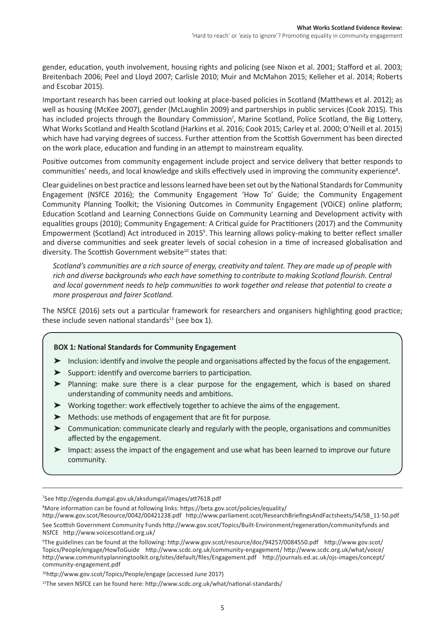gender, education, youth involvement, housing rights and policing (see Nixon et al. 2001; Stafford et al. 2003; Breitenbach 2006; Peel and Lloyd 2007; Carlisle 2010; Muir and McMahon 2015; Kelleher et al. 2014; Roberts and Escobar 2015).

Important research has been carried out looking at place-based policies in Scotland (Matthews et al. 2012); as well as housing (McKee 2007), gender (McLaughlin 2009) and partnerships in public services (Cook 2015). This has included projects through the Boundary Commission<sup>7</sup>, Marine Scotland, Police Scotland, the Big Lottery, What Works Scotland and Health Scotland (Harkins et al. 2016; Cook 2015; Carley et al. 2000; O'Neill et al. 2015) which have had varying degrees of success. Further attention from the Scottish Government has been directed on the work place, education and funding in an attempt to mainstream equality.

Positive outcomes from community engagement include project and service delivery that better responds to communities' needs, and local knowledge and skills effectively used in improving the community experience<sup>8</sup>.

Clear guidelines on best practice and lessons learned have been set out by the National Standards for Community Engagement (NSfCE 2016); the Community Engagement 'How To' Guide; the Community Engagement Community Planning Toolkit; the Visioning Outcomes in Community Engagement (VOiCE) online platform; Education Scotland and Learning Connections Guide on Community Learning and Development activity with equalities groups (2010); Community Engagement: A Critical guide for Practitioners (2017) and the Community Empowerment (Scotland) Act introduced in 2015<sup>9</sup>. This learning allows policy-making to better reflect smaller and diverse communities and seek greater levels of social cohesion in a time of increased globalisation and diversity. The Scottish Government website<sup>10</sup> states that:

*Scotland's communities are a rich source of energy, creativity and talent. They are made up of people with rich and diverse backgrounds who each have something to contribute to making Scotland flourish. Central and local government needs to help communities to work together and release that potential to create a more prosperous and fairer Scotland.*

The NSfCE (2016) sets out a particular framework for researchers and organisers highlighting good practice; these include seven national standards $11$  (see box 1).

## **BOX 1: National Standards for Community Engagement**

- ► Inclusion: identify and involve the people and organisations affected by the focus of the engagement.
- $\blacktriangleright$  Support: identify and overcome barriers to participation.
- ➤ Planning: make sure there is a clear purpose for the engagement, which is based on shared understanding of community needs and ambitions.
- $\triangleright$  Working together: work effectively together to achieve the aims of the engagement.
- ▶ Methods: use methods of engagement that are fit for purpose.
- ➤ Communication: communicate clearly and regularly with the people, organisations and communities affected by the engagement.
- ➤ Impact: assess the impact of the engagement and use what has been learned to improve our future community.

7 See http://egenda.dumgal.gov.uk/aksdumgal/images/att7618.pdf

8 More information can be found at following links: https://beta.gov.scot/policies/equality/

http://www.gov.scot/Resource/0042/00421238.pdf http://www.parliament.scot/ResearchBriefingsAndFactsheets/S4/SB\_11-50.pdf See Scottish Government Community Funds http://www.gov.scot/Topics/Built-Environment/regeneration/communityfunds and NSfCE http://www.voicescotland.org.uk/

9 The guidelines can be found at the following: http://www.gov.scot/resource/doc/94257/0084550.pdf http://www.gov.scot/ Topics/People/engage/HowToGuide http://www.scdc.org.uk/community-engagement/ http://www.scdc.org.uk/what/voice/ http://www.communityplanningtoolkit.org/sites/default/files/Engagement.pdf http://journals.ed.ac.uk/ojs-images/concept/ community-engagement.pdf

<sup>10</sup>http://www.gov.scot/Topics/People/engage (accessed June 2017)

<sup>11</sup>The seven NSfCE can be found here: http://www.scdc.org.uk/what/national-standards/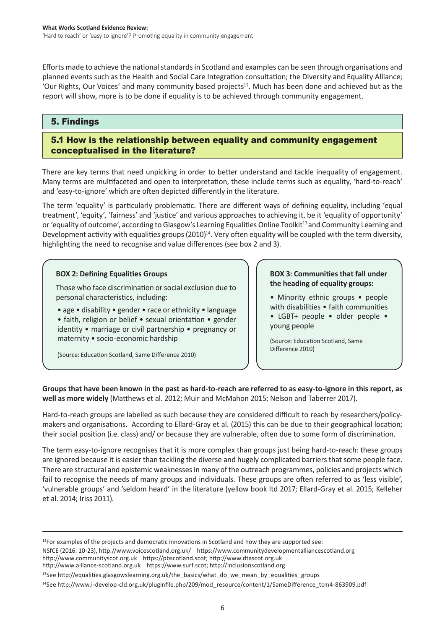Efforts made to achieve the national standards in Scotland and examples can be seen through organisations and planned events such as the Health and Social Care Integration consultation; the Diversity and Equality Alliance; 'Our Rights, Our Voices' and many community based projects<sup>12</sup>. Much has been done and achieved but as the report will show, more is to be done if equality is to be achieved through community engagement.

# 5. Findings

# 5.1 How is the relationship between equality and community engagement conceptualised in the literature?

There are key terms that need unpicking in order to better understand and tackle inequality of engagement. Many terms are multifaceted and open to interpretation, these include terms such as equality, 'hard-to-reach' and 'easy-to-ignore' which are often depicted differently in the literature.

The term 'equality' is particularly problematic. There are different ways of defining equality, including 'equal treatment', 'equity', 'fairness' and 'justice' and various approaches to achieving it, be it 'equality of opportunity' or 'equality of outcome', according to Glasgow's Learning Equalities Online Toolkit<sup>13</sup> and Community Learning and Development activity with equalities groups  $(2010)^{14}$ . Very often equality will be coupled with the term diversity, highlighting the need to recognise and value differences (see box 2 and 3).

## **BOX 2: Defining Equalities Groups**

Those who face discrimination or social exclusion due to personal characteristics, including:

• age • disability • gender • race or ethnicity • language • faith, religion or belief • sexual orientation • gender identity • marriage or civil partnership • pregnancy or maternity • socio-economic hardship

(Source: Education Scotland, Same Difference 2010)

### **BOX 3: Communities that fall under the heading of equality groups:**

• Minority ethnic groups • people with disabilities • faith communities

• LGBT+ people • older people • young people

(Source: Education Scotland, Same Difference 2010)

**Groups that have been known in the past as hard-to-reach are referred to as easy-to-ignore in this report, as well as more widely** (Matthews et al. 2012; Muir and McMahon 2015; Nelson and Taberrer 2017).

Hard-to-reach groups are labelled as such because they are considered difficult to reach by researchers/policymakers and organisations. According to Ellard-Gray et al. (2015) this can be due to their geographical location; their social position (i.e. class) and/ or because they are vulnerable, often due to some form of discrimination.

The term easy-to-ignore recognises that it is more complex than groups just being hard-to-reach: these groups are ignored because it is easier than tackling the diverse and hugely complicated barriers that some people face. There are structural and epistemic weaknesses in many of the outreach programmes, policies and projects which fail to recognise the needs of many groups and individuals. These groups are often referred to as 'less visible', 'vulnerable groups' and 'seldom heard' in the literature (yellow book ltd 2017; Ellard-Gray et al. 2015; Kelleher et al. 2014; Iriss 2011).

 $12$ For examples of the projects and democratic innovations in Scotland and how they are supported see: NSfCE (2016: 10-23), http://www.voicescotland.org.uk/ https://www.communitydevelopmentalliancescotland.org http://www.communityscot.org.uk https://pbscotland.scot; http://www.dtascot.org.uk http://www.alliance-scotland.org.uk https://www.surf.scot; http://inclusionscotland.org

<sup>13</sup>See http://equalities.glasgowslearning.org.uk/the\_basics/what\_do\_we\_mean\_by\_equalities\_groups

<sup>&</sup>lt;sup>14</sup>See http://www.i-develop-cld.org.uk/pluginfile.php/209/mod\_resource/content/1/SameDifference\_tcm4-863909.pdf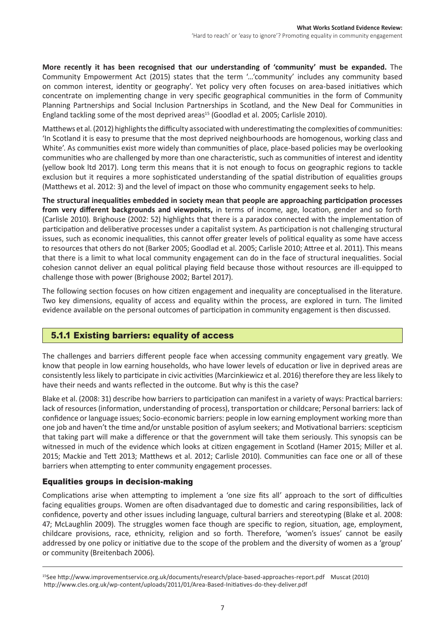**More recently it has been recognised that our understanding of 'community' must be expanded.** The Community Empowerment Act (2015) states that the term '…'community' includes any community based on common interest, identity or geography'. Yet policy very often focuses on area-based initiatives which concentrate on implementing change in very specific geographical communities in the form of Community Planning Partnerships and Social Inclusion Partnerships in Scotland, and the New Deal for Communities in England tackling some of the most deprived areas<sup>15</sup> (Goodlad et al. 2005; Carlisle 2010).

Matthews et al. (2012) highlights the difficulty associated with underestimating the complexities of communities: 'In Scotland it is easy to presume that the most deprived neighbourhoods are homogenous, working class and White'. As communities exist more widely than communities of place, place-based policies may be overlooking communities who are challenged by more than one characteristic, such as communities of interest and identity (yellow book ltd 2017). Long term this means that it is not enough to focus on geographic regions to tackle exclusion but it requires a more sophisticated understanding of the spatial distribution of equalities groups (Matthews et al. 2012: 3) and the level of impact on those who community engagement seeks to help.

**The structural inequalities embedded in society mean that people are approaching participation processes from very different backgrounds and viewpoints,** in terms of income, age, location, gender and so forth (Carlisle 2010). Brighouse (2002: 52) highlights that there is a paradox connected with the implementation of participation and deliberative processes under a capitalist system. As participation is not challenging structural issues, such as economic inequalities, this cannot offer greater levels of political equality as some have access to resources that others do not (Barker 2005; Goodlad et al. 2005; Carlisle 2010; Attree et al. 2011). This means that there is a limit to what local community engagement can do in the face of structural inequalities. Social cohesion cannot deliver an equal political playing field because those without resources are ill-equipped to challenge those with power (Brighouse 2002; Bartel 2017).

The following section focuses on how citizen engagement and inequality are conceptualised in the literature. Two key dimensions, equality of access and equality within the process, are explored in turn. The limited evidence available on the personal outcomes of participation in community engagement is then discussed.

# 5.1.1 Existing barriers: equality of access

The challenges and barriers different people face when accessing community engagement vary greatly. We know that people in low earning households, who have lower levels of education or live in deprived areas are consistently less likely to participate in civic activities (Marcinkiewicz et al. 2016) therefore they are less likely to have their needs and wants reflected in the outcome. But why is this the case?

Blake et al. (2008: 31) describe how barriersto participation can manifest in a variety of ways: Practical barriers: lack of resources (information, understanding of process), transportation or childcare; Personal barriers: lack of confidence or language issues; Socio-economic barriers: people in low earning employment working more than one job and haven't the time and/or unstable position of asylum seekers; and Motivational barriers: scepticism that taking part will make a difference or that the government will take them seriously. This synopsis can be witnessed in much of the evidence which looks at citizen engagement in Scotland (Hamer 2015; Miller et al. 2015; Mackie and Tett 2013; Matthews et al. 2012; Carlisle 2010). Communities can face one or all of these barriers when attempting to enter community engagement processes.

# Equalities groups in decision-making

Complications arise when attempting to implement a 'one size fits all' approach to the sort of difficulties facing equalities groups. Women are often disadvantaged due to domestic and caring responsibilities, lack of confidence, poverty and other issues including language, cultural barriers and stereotyping (Blake et al. 2008: 47; McLaughlin 2009). The struggles women face though are specific to region, situation, age, employment, childcare provisions, race, ethnicity, religion and so forth. Therefore, 'women's issues' cannot be easily addressed by one policy or initiative due to the scope of the problem and the diversity of women as a 'group' or community (Breitenbach 2006).

<sup>15</sup>See http://www.improvementservice.org.uk/documents/research/place-based-approaches-report.pdf Muscat (2010) http://www.cles.org.uk/wp-content/uploads/2011/01/Area-Based-Initiatives-do-they-deliver.pdf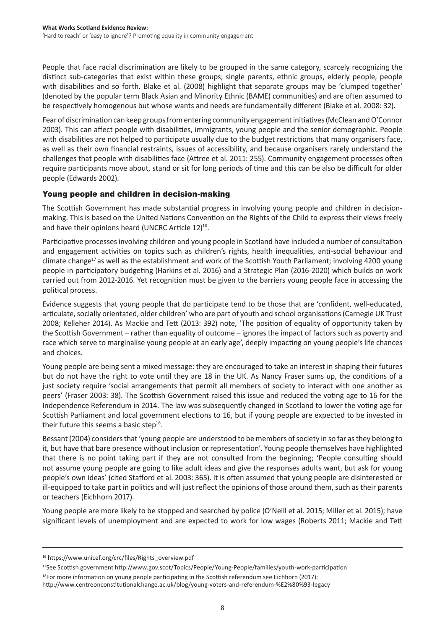People that face racial discrimination are likely to be grouped in the same category, scarcely recognizing the distinct sub-categories that exist within these groups; single parents, ethnic groups, elderly people, people with disabilities and so forth. Blake et al. (2008) highlight that separate groups may be 'clumped together' (denoted by the popular term Black Asian and Minority Ethnic (BAME) communities) and are often assumed to be respectively homogenous but whose wants and needs are fundamentally different (Blake et al. 2008: 32).

Fear of discrimination can keep groups from entering community engagement initiatives (McClean and O'Connor 2003). This can affect people with disabilities, immigrants, young people and the senior demographic. People with disabilities are not helped to participate usually due to the budget restrictions that many organisers face, as well as their own financial restraints, issues of accessibility, and because organisers rarely understand the challenges that people with disabilities face (Attree et al. 2011: 255). Community engagement processes often require participants move about, stand or sit for long periods of time and this can be also be difficult for older people (Edwards 2002).

# Young people and children in decision-making

The Scottish Government has made substantial progress in involving young people and children in decisionmaking. This is based on the United Nations Convention on the Rights of the Child to express their views freely and have their opinions heard (UNCRC Article 12)<sup>16</sup>.

Participative processes involving children and young people in Scotland have included a number of consultation and engagement activities on topics such as children's rights, health inequalities, anti-social behaviour and climate change<sup>17</sup> as well as the establishment and work of the Scottish Youth Parliament; involving 4200 young people in participatory budgeting (Harkins et al. 2016) and a Strategic Plan (2016-2020) which builds on work carried out from 2012-2016. Yet recognition must be given to the barriers young people face in accessing the political process.

Evidence suggests that young people that do participate tend to be those that are 'confident, well-educated, articulate, socially orientated, older children' who are part of youth and school organisations (Carnegie UK Trust 2008; Kelleher 2014). As Mackie and Tett (2013: 392) note, 'The position of equality of opportunity taken by the Scottish Government – rather than equality of outcome – ignores the impact of factors such as poverty and race which serve to marginalise young people at an early age', deeply impacting on young people's life chances and choices.

Young people are being sent a mixed message: they are encouraged to take an interest in shaping their futures but do not have the right to vote until they are 18 in the UK. As Nancy Fraser sums up, the conditions of a just society require 'social arrangements that permit all members of society to interact with one another as peers' (Fraser 2003: 38). The Scottish Government raised this issue and reduced the voting age to 16 for the Independence Referendum in 2014. The law was subsequently changed in Scotland to lower the voting age for Scottish Parliament and local government elections to 16, but if young people are expected to be invested in their future this seems a basic step $18$ .

Bessant (2004) considers that 'young people are understood to be members of society in so far as they belong to it, but have that bare presence without inclusion or representation'. Young people themselves have highlighted that there is no point taking part if they are not consulted from the beginning; 'People consulting should not assume young people are going to like adult ideas and give the responses adults want, but ask for young people's own ideas' (cited Stafford et al. 2003: 365). It is often assumed that young people are disinterested or ill-equipped to take part in politics and will just reflect the opinions of those around them, such as their parents or teachers (Eichhorn 2017).

Young people are more likely to be stopped and searched by police (O'Neill et al. 2015; Miller et al. 2015); have significant levels of unemployment and are expected to work for low wages (Roberts 2011; Mackie and Tett

<sup>16</sup> https://www.unicef.org/crc/files/Rights\_overview.pdf

<sup>17</sup>See Scottish government http://www.gov.scot/Topics/People/Young-People/families/youth-work-participation

 $18$ For more information on young people participating in the Scottish referendum see Eichhorn (2017): http://www.centreonconstitutionalchange.ac.uk/blog/young-voters-and-referendum-%E2%80%93-legacy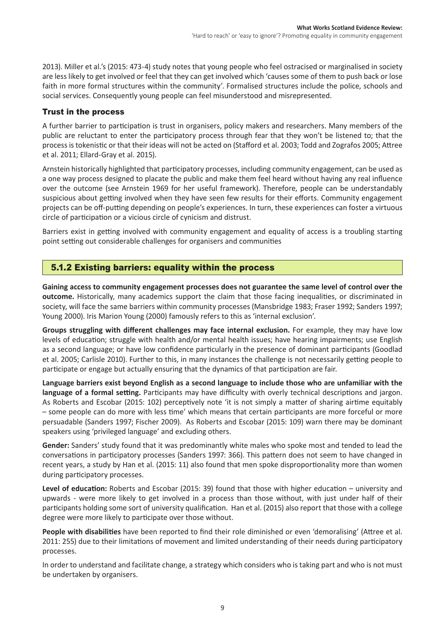2013). Miller et al.'s (2015: 473-4) study notes that young people who feel ostracised or marginalised in society are less likely to get involved or feel that they can get involved which 'causes some of them to push back or lose faith in more formal structures within the community'. Formalised structures include the police, schools and social services. Consequently young people can feel misunderstood and misrepresented.

## Trust in the process

A further barrier to participation is trust in organisers, policy makers and researchers. Many members of the public are reluctant to enter the participatory process through fear that they won't be listened to; that the process is tokenistic or that their ideas will not be acted on (Stafford et al. 2003; Todd and Zografos 2005; Attree et al. 2011; Ellard-Gray et al. 2015).

Arnstein historically highlighted that participatory processes, including community engagement, can be used as a one way process designed to placate the public and make them feel heard without having any real influence over the outcome (see Arnstein 1969 for her useful framework). Therefore, people can be understandably suspicious about getting involved when they have seen few results for their efforts. Community engagement projects can be off-putting depending on people's experiences. In turn, these experiences can foster a virtuous circle of participation or a vicious circle of cynicism and distrust.

Barriers exist in getting involved with community engagement and equality of access is a troubling starting point setting out considerable challenges for organisers and communities

# 5.1.2 Existing barriers: equality within the process

**Gaining access to community engagement processes does not guarantee the same level of control over the outcome.** Historically, many academics support the claim that those facing inequalities, or discriminated in society, will face the same barriers within community processes (Mansbridge 1983; Fraser 1992; Sanders 1997; Young 2000). Iris Marion Young (2000) famously refers to this as 'internal exclusion'.

**Groups struggling with different challenges may face internal exclusion.** For example, they may have low levels of education; struggle with health and/or mental health issues; have hearing impairments; use English as a second language; or have low confidence particularly in the presence of dominant participants (Goodlad et al. 2005; Carlisle 2010). Further to this, in many instances the challenge is not necessarily getting people to participate or engage but actually ensuring that the dynamics of that participation are fair.

**Language barriers exist beyond English as a second language to include those who are unfamiliar with the language of a formal setting.** Participants may have difficulty with overly technical descriptions and jargon. As Roberts and Escobar (2015: 102) perceptively note 'it is not simply a matter of sharing airtime equitably – some people can do more with less time' which means that certain participants are more forceful or more persuadable (Sanders 1997; Fischer 2009). As Roberts and Escobar (2015: 109) warn there may be dominant speakers using 'privileged language' and excluding others.

**Gender:** Sanders' study found that it was predominantly white males who spoke most and tended to lead the conversations in participatory processes (Sanders 1997: 366). This pattern does not seem to have changed in recent years, a study by Han et al. (2015: 11) also found that men spoke disproportionality more than women during participatory processes.

**Level of education:** Roberts and Escobar (2015: 39) found that those with higher education – university and upwards - were more likely to get involved in a process than those without, with just under half of their participants holding some sort of university qualification. Han et al. (2015) also report that those with a college degree were more likely to participate over those without.

**People with disabilities** have been reported to find their role diminished or even 'demoralising' (Attree et al. 2011: 255) due to their limitations of movement and limited understanding of their needs during participatory processes.

In order to understand and facilitate change, a strategy which considers who is taking part and who is not must be undertaken by organisers.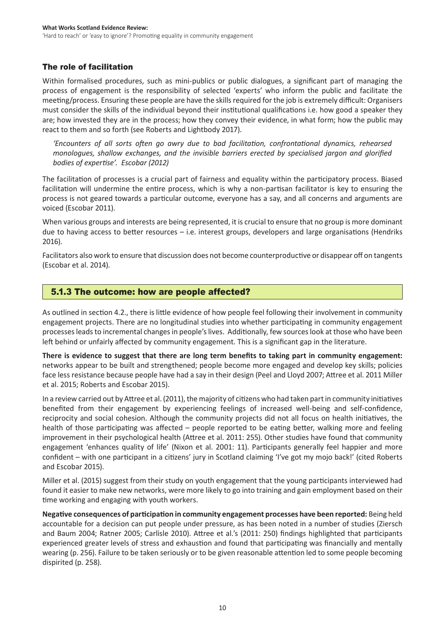# The role of facilitation

Within formalised procedures, such as mini-publics or public dialogues, a significant part of managing the process of engagement is the responsibility of selected 'experts' who inform the public and facilitate the meeting/process. Ensuring these people are have the skills required for the job is extremely difficult: Organisers must consider the skills of the individual beyond their institutional qualifications i.e. how good a speaker they are; how invested they are in the process; how they convey their evidence, in what form; how the public may react to them and so forth (see Roberts and Lightbody 2017).

*'Encounters of all sorts often go awry due to bad facilitation, confrontational dynamics, rehearsed monologues, shallow exchanges, and the invisible barriers erected by specialised jargon and glorified bodies of expertise'. Escobar (2012)*

The facilitation of processes is a crucial part of fairness and equality within the participatory process. Biased facilitation will undermine the entire process, which is why a non-partisan facilitator is key to ensuring the process is not geared towards a particular outcome, everyone has a say, and all concerns and arguments are voiced (Escobar 2011).

When various groups and interests are being represented, it is crucial to ensure that no group is more dominant due to having access to better resources – i.e. interest groups, developers and large organisations (Hendriks 2016).

Facilitators also work to ensure that discussion does not become counterproductive or disappear off on tangents (Escobar et al. 2014).

# 5.1.3 The outcome: how are people affected?

As outlined in section 4.2., there is little evidence of how people feel following their involvement in community engagement projects. There are no longitudinal studies into whether participating in community engagement processes leads to incremental changes in people's lives. Additionally, few sources look at those who have been left behind or unfairly affected by community engagement. This is a significant gap in the literature.

**There is evidence to suggest that there are long term benefits to taking part in community engagement:** networks appear to be built and strengthened; people become more engaged and develop key skills; policies face less resistance because people have had a say in their design (Peel and Lloyd 2007; Attree et al. 2011 Miller et al. 2015; Roberts and Escobar 2015).

In a review carried out by Attree et al. (2011), the majority of citizens who had taken part in community initiatives benefited from their engagement by experiencing feelings of increased well-being and self-confidence, reciprocity and social cohesion. Although the community projects did not all focus on health initiatives, the health of those participating was affected – people reported to be eating better, walking more and feeling improvement in their psychological health (Attree et al. 2011: 255). Other studies have found that community engagement 'enhances quality of life' (Nixon et al. 2001: 11). Participants generally feel happier and more confident – with one participant in a citizens' jury in Scotland claiming 'I've got my mojo back!' (cited Roberts and Escobar 2015).

Miller et al. (2015) suggest from their study on youth engagement that the young participants interviewed had found it easier to make new networks, were more likely to go into training and gain employment based on their time working and engaging with youth workers.

**Negative consequences of participation in community engagement processes have been reported:** Being held accountable for a decision can put people under pressure, as has been noted in a number of studies (Ziersch and Baum 2004; Ratner 2005; Carlisle 2010). Attree et al.'s (2011: 250) findings highlighted that participants experienced greater levels of stress and exhaustion and found that participating was financially and mentally wearing (p. 256). Failure to be taken seriously or to be given reasonable attention led to some people becoming dispirited (p. 258).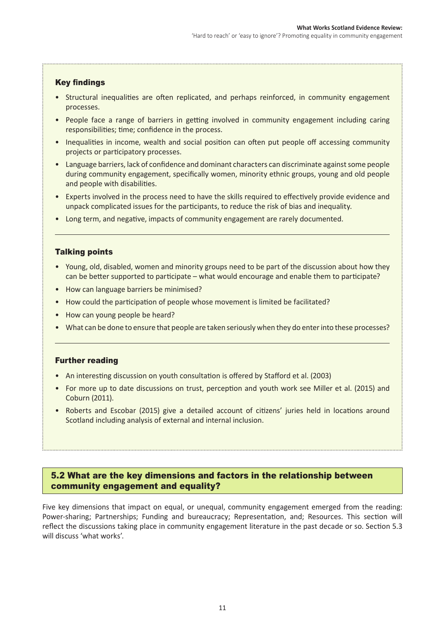## Key findings

- Structural inequalities are often replicated, and perhaps reinforced, in community engagement processes.
- People face a range of barriers in getting involved in community engagement including caring responsibilities; time; confidence in the process.
- Inequalities in income, wealth and social position can often put people off accessing community projects or participatory processes.
- Language barriers, lack of confidence and dominant characters can discriminate against some people during community engagement, specifically women, minority ethnic groups, young and old people and people with disabilities.
- Experts involved in the process need to have the skills required to effectively provide evidence and unpack complicated issues for the participants, to reduce the risk of bias and inequality.
- • Long term, and negative, impacts of community engagement are rarely documented.

## Talking points

- Young, old, disabled, women and minority groups need to be part of the discussion about how they can be better supported to participate – what would encourage and enable them to participate?
- How can language barriers be minimised?
- How could the participation of people whose movement is limited be facilitated?
- How can young people be heard?
- What can be done to ensure that people are taken seriously when they do enter into these processes?

### Further reading

- An interesting discussion on youth consultation is offered by Stafford et al. (2003)
- For more up to date discussions on trust, perception and youth work see Miller et al. (2015) and Coburn (2011).
- Roberts and Escobar (2015) give a detailed account of citizens' juries held in locations around Scotland including analysis of external and internal inclusion.

## 5.2 What are the key dimensions and factors in the relationship between community engagement and equality?

Five key dimensions that impact on equal, or unequal, community engagement emerged from the reading: Power-sharing; Partnerships; Funding and bureaucracy; Representation, and; Resources. This section will reflect the discussions taking place in community engagement literature in the past decade or so. Section 5.3 will discuss 'what works'.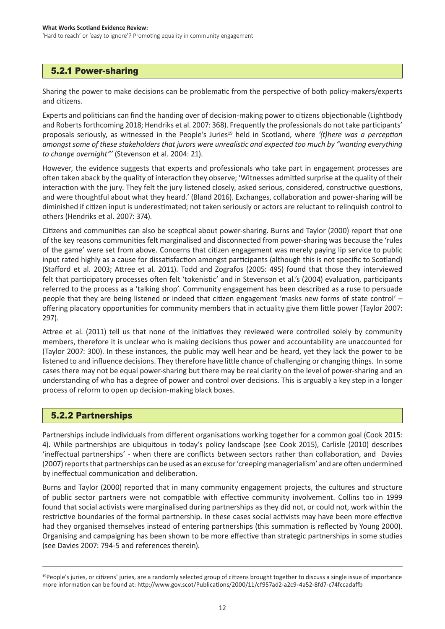# 5.2.1 Power-sharing

Sharing the power to make decisions can be problematic from the perspective of both policy-makers/experts and citizens.

Experts and politicians can find the handing over of decision-making power to citizens objectionable (Lightbody and Roberts forthcoming 2018; Hendriks et al. 2007: 368). Frequently the professionals do not take participants' proposals seriously, as witnessed in the People's Juries<sup>19</sup> held in Scotland, where '(t)here was a perception *amongst some of these stakeholders that jurors were unrealistic and expected too much by "wanting everything to change overnight"'* (Stevenson et al. 2004: 21).

However, the evidence suggests that experts and professionals who take part in engagement processes are often taken aback by the quality of interaction they observe; 'Witnesses admitted surprise at the quality of their interaction with the jury. They felt the jury listened closely, asked serious, considered, constructive questions, and were thoughtful about what they heard.' (Bland 2016). Exchanges, collaboration and power-sharing will be diminished if citizen input is underestimated; not taken seriously or actors are reluctant to relinquish control to others (Hendriks et al. 2007: 374).

Citizens and communities can also be sceptical about power-sharing. Burns and Taylor (2000) report that one of the key reasons communities felt marginalised and disconnected from power-sharing was because the 'rules of the game' were set from above. Concerns that citizen engagement was merely paying lip service to public input rated highly as a cause for dissatisfaction amongst participants (although this is not specific to Scotland) (Stafford et al. 2003; Attree et al. 2011). Todd and Zografos (2005: 495) found that those they interviewed felt that participatory processes often felt 'tokenistic' and in Stevenson et al.'s (2004) evaluation, participants referred to the process as a 'talking shop'. Community engagement has been described as a ruse to persuade people that they are being listened or indeed that citizen engagement 'masks new forms of state control' – offering placatory opportunities for community members that in actuality give them little power (Taylor 2007: 297).

Attree et al. (2011) tell us that none of the initiatives they reviewed were controlled solely by community members, therefore it is unclear who is making decisions thus power and accountability are unaccounted for (Taylor 2007: 300). In these instances, the public may well hear and be heard, yet they lack the power to be listened to and influence decisions. They therefore have little chance of challenging or changing things. In some cases there may not be equal power-sharing but there may be real clarity on the level of power-sharing and an understanding of who has a degree of power and control over decisions. This is arguably a key step in a longer process of reform to open up decision-making black boxes.

# 5.2.2 Partnerships

Partnerships include individuals from different organisations working together for a common goal (Cook 2015: 4). While partnerships are ubiquitous in today's policy landscape (see Cook 2015), Carlisle (2010) describes 'ineffectual partnerships' - when there are conflicts between sectors rather than collaboration, and Davies (2007) reports that partnerships can be used as an excuse for 'creeping managerialism' and are often undermined by ineffectual communication and deliberation.

Burns and Taylor (2000) reported that in many community engagement projects, the cultures and structure of public sector partners were not compatible with effective community involvement. Collins too in 1999 found that social activists were marginalised during partnerships as they did not, or could not, work within the restrictive boundaries of the formal partnership. In these cases social activists may have been more effective had they organised themselves instead of entering partnerships (this summation is reflected by Young 2000). Organising and campaigning has been shown to be more effective than strategic partnerships in some studies (see Davies 2007: 794-5 and references therein).

<sup>&</sup>lt;sup>19</sup>People's juries, or citizens' juries, are a randomly selected group of citizens brought together to discuss a single issue of importance more information can be found at: http://www.gov.scot/Publications/2000/11/cf957ad2-a2c9-4a52-8fd7-c74fccadaffb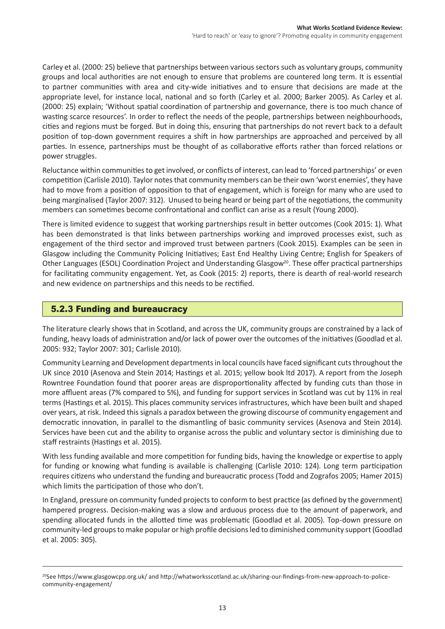Carley et al. (2000: 25) believe that partnerships between various sectors such as voluntary groups, community groups and local authorities are not enough to ensure that problems are countered long term. It is essential to partner communities with area and city-wide initiatives and to ensure that decisions are made at the appropriate level, for instance local, national and so forth (Carley et al. 2000; Barker 2005). As Carley et al. (2000: 25) explain; 'Without spatial coordination of partnership and governance, there is too much chance of wasting scarce resources'. In order to reflect the needs of the people, partnerships between neighbourhoods, cities and regions must be forged. But in doing this, ensuring that partnerships do not revert back to a default position of top-down government requires a shift in how partnerships are approached and perceived by all parties. In essence, partnerships must be thought of as collaborative efforts rather than forced relations or power struggles.

Reluctance within communities to get involved, or conflicts of interest, can lead to 'forced partnerships' or even competition (Carlisle 2010). Taylor notes that community members can be their own 'worst enemies', they have had to move from a position of opposition to that of engagement, which is foreign for many who are used to being marginalised (Taylor 2007: 312). Unused to being heard or being part of the negotiations, the community members can sometimes become confrontational and conflict can arise as a result (Young 2000).

There is limited evidence to suggest that working partnerships result in better outcomes (Cook 2015: 1). What has been demonstrated is that links between partnerships working and improved processes exist, such as engagement of the third sector and improved trust between partners (Cook 2015). Examples can be seen in Glasgow including the Community Policing Initiatives; East End Healthy Living Centre; English for Speakers of Other Languages (ESOL) Coordination Project and Understanding Glasgow<sup>20</sup>. These offer practical partnerships for facilitating community engagement. Yet, as Cook (2015: 2) reports, there is dearth of real-world research and new evidence on partnerships and this needs to be rectified.

# 5.2.3 Funding and bureaucracy

The literature clearly shows that in Scotland, and across the UK, community groups are constrained by a lack of funding, heavy loads of administration and/or lack of power over the outcomes of the initiatives (Goodlad et al. 2005: 932; Taylor 2007: 301; Carlisle 2010).

Community Learning and Development departments in local councils have faced significant cuts throughout the UK since 2010 (Asenova and Stein 2014; Hastings et al. 2015; yellow book ltd 2017). A report from the Joseph Rowntree Foundation found that poorer areas are disproportionality affected by funding cuts than those in more affluent areas (7% compared to 5%), and funding for support services in Scotland was cut by 11% in real terms (Hastings et al. 2015). This places community services infrastructures, which have been built and shaped over years, at risk. Indeed this signals a paradox between the growing discourse of community engagement and democratic innovation, in parallel to the dismantling of basic community services (Asenova and Stein 2014). Services have been cut and the ability to organise across the public and voluntary sector is diminishing due to staff restraints (Hastings et al. 2015).

With less funding available and more competition for funding bids, having the knowledge or expertise to apply for funding or knowing what funding is available is challenging (Carlisle 2010: 124). Long term participation requires citizens who understand the funding and bureaucratic process (Todd and Zografos 2005; Hamer 2015) which limits the participation of those who don't.

In England, pressure on community funded projects to conform to best practice (as defined by the government) hampered progress. Decision-making was a slow and arduous process due to the amount of paperwork, and spending allocated funds in the allotted time was problematic (Goodlad et al. 2005). Top-down pressure on community-led groups to make popular or high profile decisions led to diminished community support (Goodlad et al. 2005: 305).

<sup>&</sup>lt;sup>20</sup>See https://www.glasgowcpp.org.uk/ and http://whatworksscotland.ac.uk/sharing-our-findings-from-new-approach-to-policecommunity-engagement/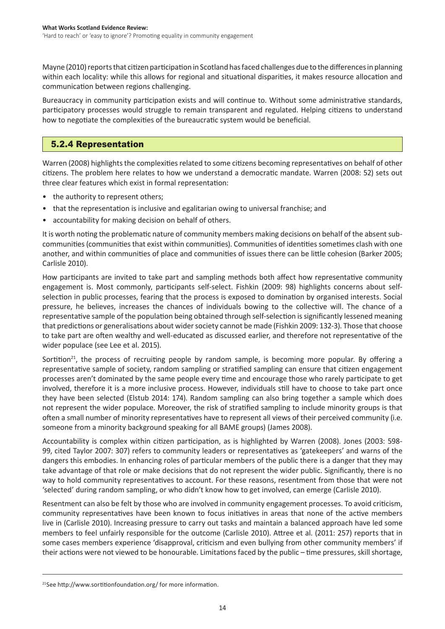Mayne (2010) reports that citizen participation in Scotland has faced challenges due to the differences in planning within each locality: while this allows for regional and situational disparities, it makes resource allocation and communication between regions challenging.

Bureaucracy in community participation exists and will continue to. Without some administrative standards, participatory processes would struggle to remain transparent and regulated. Helping citizens to understand how to negotiate the complexities of the bureaucratic system would be beneficial.

# 5.2.4 Representation

Warren (2008) highlights the complexities related to some citizens becoming representatives on behalf of other citizens. The problem here relates to how we understand a democratic mandate. Warren (2008: 52) sets out three clear features which exist in formal representation:

- the authority to represent others;
- that the representation is inclusive and egalitarian owing to universal franchise; and
- accountability for making decision on behalf of others.

It is worth noting the problematic nature of community members making decisions on behalf of the absent subcommunities (communities that exist within communities). Communities of identities sometimes clash with one another, and within communities of place and communities of issues there can be little cohesion (Barker 2005; Carlisle 2010).

How participants are invited to take part and sampling methods both affect how representative community engagement is. Most commonly, participants self-select. Fishkin (2009: 98) highlights concerns about selfselection in public processes, fearing that the process is exposed to domination by organised interests. Social pressure, he believes, increases the chances of individuals bowing to the collective will. The chance of a representative sample of the population being obtained through self-selection issignificantly lessened meaning that predictions or generalisations about widersociety cannot be made (Fishkin 2009: 132-3). Those that choose to take part are often wealthy and well-educated as discussed earlier, and therefore not representative of the wider populace (see Lee et al. 2015).

Sortition<sup>21</sup>, the process of recruiting people by random sample, is becoming more popular. By offering a representative sample of society, random sampling or stratified sampling can ensure that citizen engagement processes aren't dominated by the same people every time and encourage those who rarely participate to get involved, therefore it is a more inclusive process. However, individuals still have to choose to take part once they have been selected (Elstub 2014: 174). Random sampling can also bring together a sample which does not represent the wider populace. Moreover, the risk of stratified sampling to include minority groups is that often a small number of minority representatives have to represent all views of their perceived community (i.e. someone from a minority background speaking for all BAME groups) (James 2008).

Accountability is complex within citizen participation, as is highlighted by Warren (2008). Jones (2003: 598- 99, cited Taylor 2007: 307) refers to community leaders or representatives as 'gatekeepers' and warns of the dangers this embodies. In enhancing roles of particular members of the public there is a danger that they may take advantage of that role or make decisions that do not represent the wider public. Significantly, there is no way to hold community representatives to account. For these reasons, resentment from those that were not 'selected' during random sampling, or who didn't know how to get involved, can emerge (Carlisle 2010).

Resentment can also be felt by those who are involved in community engagement processes. To avoid criticism, community representatives have been known to focus initiatives in areas that none of the active members live in (Carlisle 2010). Increasing pressure to carry out tasks and maintain a balanced approach have led some members to feel unfairly responsible for the outcome (Carlisle 2010). Attree et al. (2011: 257) reports that in some cases members experience 'disapproval, criticism and even bullying from other community members' if their actions were not viewed to be honourable. Limitations faced by the public – time pressures, skill shortage,

<sup>21</sup>See http://www.sortitionfoundation.org/ for more information.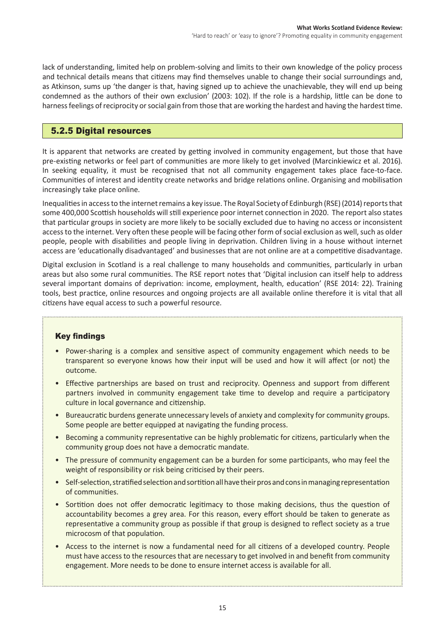lack of understanding, limited help on problem-solving and limits to their own knowledge of the policy process and technical details means that citizens may find themselves unable to change their social surroundings and, as Atkinson, sums up 'the danger is that, having signed up to achieve the unachievable, they will end up being condemned as the authors of their own exclusion' (2003: 102). If the role is a hardship, little can be done to harness feelings of reciprocity or social gain from those that are working the hardest and having the hardest time.

# 5.2.5 Digital resources

It is apparent that networks are created by getting involved in community engagement, but those that have pre-existing networks or feel part of communities are more likely to get involved (Marcinkiewicz et al. 2016). In seeking equality, it must be recognised that not all community engagement takes place face-to-face. Communities of interest and identity create networks and bridge relations online. Organising and mobilisation increasingly take place online.

Inequalities in access to the internet remains a key issue. The Royal Society of Edinburgh (RSE) (2014) reports that some 400,000 Scottish households willstill experience poor internet connection in 2020. The report also states that particular groups in society are more likely to be socially excluded due to having no access or inconsistent access to the internet. Very often these people will be facing other form of social exclusion as well, such as older people, people with disabilities and people living in deprivation. Children living in a house without internet access are 'educationally disadvantaged' and businesses that are not online are at a competitive disadvantage.

Digital exclusion in Scotland is a real challenge to many households and communities, particularly in urban areas but also some rural communities. The RSE report notes that 'Digital inclusion can itself help to address several important domains of deprivation: income, employment, health, education' (RSE 2014: 22). Training tools, best practice, online resources and ongoing projects are all available online therefore it is vital that all citizens have equal access to such a powerful resource.

# Key findings

- • Power-sharing is a complex and sensitive aspect of community engagement which needs to be transparent so everyone knows how their input will be used and how it will affect (or not) the outcome.
- Effective partnerships are based on trust and reciprocity. Openness and support from different partners involved in community engagement take time to develop and require a participatory culture in local governance and citizenship.
- Bureaucratic burdens generate unnecessary levels of anxiety and complexity for community groups. Some people are better equipped at navigating the funding process.
- • Becoming a community representative can be highly problematic for citizens, particularly when the community group does not have a democratic mandate.
- The pressure of community engagement can be a burden for some participants, who may feel the weight of responsibility or risk being criticised by their peers.
- Self-selection, stratified selection and sortition all have their pros and consin managing representation of communities.
- Sortition does not offer democratic legitimacy to those making decisions, thus the question of accountability becomes a grey area. For this reason, every effort should be taken to generate as representative a community group as possible if that group is designed to reflect society as a true microcosm of that population.
- Access to the internet is now a fundamental need for all citizens of a developed country. People must have accessto the resourcesthat are necessary to get involved in and benefit from community engagement. More needs to be done to ensure internet access is available for all.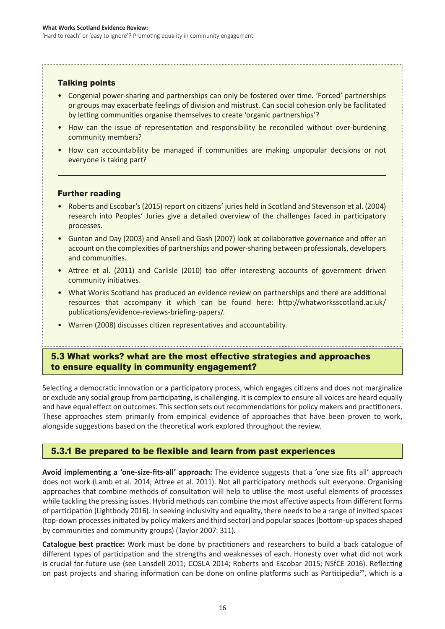# Talking points

- Congenial power-sharing and partnerships can only be fostered over time. 'Forced' partnerships or groups may exacerbate feelings of division and mistrust. Can social cohesion only be facilitated by letting communities organise themselves to create 'organic partnerships'?
- How can the issue of representation and responsibility be reconciled without over-burdening community members?
- How can accountability be managed if communities are making unpopular decisions or not everyone is taking part?

## Further reading

- Roberts and Escobar's (2015) report on citizens' juries held in Scotland and Stevenson et al. (2004) research into Peoples' Juries give a detailed overview of the challenges faced in participatory processes.
- • Gunton and Day (2003) and Ansell and Gash (2007) look at collaborative governance and offer an account on the complexities of partnerships and power-sharing between professionals, developers and communities.
- Attree et al. (2011) and Carlisle (2010) too offer interesting accounts of government driven community initiatives.
- What Works Scotland has produced an evidence review on partnerships and there are additional resources that accompany it which can be found here: http://whatworksscotland.ac.uk/ publications/evidence-reviews-briefing-papers/.
- Warren (2008) discusses citizen representatives and accountability.

# 5.3 What works? what are the most effective strategies and approaches to ensure equality in community engagement?

Selecting a democratic innovation or a participatory process, which engages citizens and does not marginalize or exclude any social group from participating, is challenging. It is complex to ensure all voices are heard equally and have equal effect on outcomes. This section sets out recommendations for policy makers and practitioners. These approaches stem primarily from empirical evidence of approaches that have been proven to work, alongside suggestions based on the theoretical work explored throughout the review.

# 5.3.1 Be prepared to be flexible and learn from past experiences

**Avoid implementing a 'one-size-fits-all' approach:** The evidence suggests that a 'one size fits all' approach does not work (Lamb et al. 2014; Attree et al. 2011). Not all participatory methods suit everyone. Organising approaches that combine methods of consultation will help to utilise the most useful elements of processes while tackling the pressing issues. Hybrid methods can combine the most affective aspects from different forms of participation (Lightbody 2016). In seeking inclusivity and equality, there needs to be a range of invited spaces (top-down processesinitiated by policy makers and third sector) and popularspaces(bottom-up spacesshaped by communities and community groups) (Taylor 2007: 311).

**Catalogue best practice:** Work must be done by practitioners and researchers to build a back catalogue of different types of participation and the strengths and weaknesses of each. Honesty over what did not work is crucial for future use (see Lansdell 2011; COSLA 2014; Roberts and Escobar 2015; NSfCE 2016). Reflecting on past projects and sharing information can be done on online platforms such as Participedia<sup>22</sup>, which is a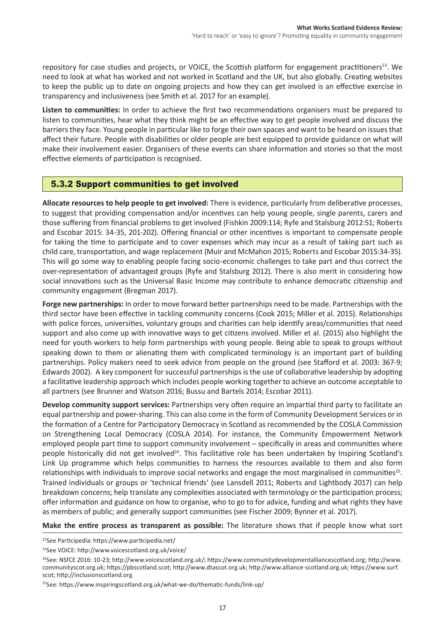repository for case studies and projects, or VOICE, the Scottish platform for engagement practitioners<sup>23</sup>. We need to look at what has worked and not worked in Scotland and the UK, but also globally. Creating websites to keep the public up to date on ongoing projects and how they can get involved is an effective exercise in transparency and inclusiveness (see Smith et al. 2017 for an example).

**Listen to communities:** In order to achieve the first two recommendations organisers must be prepared to listen to communities, hear what they think might be an effective way to get people involved and discuss the barriers they face. Young people in particular like to forge their own spaces and want to be heard on issues that affect their future. People with disabilities or older people are best equipped to provide guidance on what will make their involvement easier. Organisers of these events can share information and stories so that the most effective elements of participation is recognised.

# 5.3.2 Support communities to get involved

**Allocate resources to help people to get involved:** There is evidence, particularly from deliberative processes, to suggest that providing compensation and/or incentives can help young people, single parents, carers and those suffering from financial problems to get involved (Fishkin 2009:114; Ryfe and Stalsburg 2012:51; Roberts and Escobar 2015: 34-35, 201-202). Offering financial or other incentives is important to compensate people for taking the time to participate and to cover expenses which may incur as a result of taking part such as child care, transportation, and wage replacement (Muir and McMahon 2015; Roberts and Escobar 2015:34-35). This will go some way to enabling people facing socio-economic challenges to take part and thus correct the over-representation of advantaged groups (Ryfe and Stalsburg 2012). There is also merit in considering how social innovations such as the Universal Basic Income may contribute to enhance democratic citizenship and community engagement (Bregman 2017).

**Forge new partnerships:** In order to move forward better partnerships need to be made. Partnerships with the third sector have been effective in tackling community concerns (Cook 2015; Miller et al. 2015). Relationships with police forces, universities, voluntary groups and charities can help identify areas/communities that need support and also come up with innovative ways to get citizens involved. Miller et al. (2015) also highlight the need for youth workers to help form partnerships with young people. Being able to speak to groups without speaking down to them or alienating them with complicated terminology is an important part of building partnerships. Policy makers need to seek advice from people on the ground (see Stafford et al. 2003: 367-9; Edwards 2002). A key component for successful partnerships is the use of collaborative leadership by adopting a facilitative leadership approach which includes people working together to achieve an outcome acceptable to all partners (see Brunner and Watson 2016; Bussu and Bartels 2014; Escobar 2011).

**Develop community support services:** Partnerships very often require an impartial third party to facilitate an equal partnership and power-sharing. This can also come in the form of Community Development Services or in the formation of a Centre for Participatory Democracy in Scotland as recommended by the COSLA Commission on Strengthening Local Democracy (COSLA 2014). For instance, the Community Empowerment Network employed people part time to support community involvement – specifically in areas and communities where people historically did not get involved $24$ . This facilitative role has been undertaken by Inspiring Scotland's Link Up programme which helps communities to harness the resources available to them and also form relationships with individuals to improve social networks and engage the most marginalised in communities<sup>25</sup>. Trained individuals or groups or 'technical friends' (see Lansdell 2011; Roberts and Lightbody 2017) can help breakdown concerns; help translate any complexities associated with terminology or the participation process; offer information and guidance on how to organise, who to go to for advice, funding and what rights they have as members of public; and generally support communities (see Fischer 2009; Bynner et al. 2017).

### **Make the entire process as transparent as possible:** The literature shows that if people know what sort

<sup>22</sup>See Participedia: https://www.participedia.net/

<sup>23</sup>See VOiCE: http://www.voicescotland.org.uk/voice/

<sup>24</sup>See: NSfCE 2016: 10-23; http://www.voicescotland.org.uk/; https://www.communitydevelopmentalliancescotland.org; http://www. communityscot.org.uk; https://pbscotland.scot; http://www.dtascot.org.uk; http://www.alliance-scotland.org.uk; https://www.surf. scot; http://inclusionscotland.org

<sup>25</sup>See: https://www.inspiringscotland.org.uk/what-we-do/thematic-funds/link-up/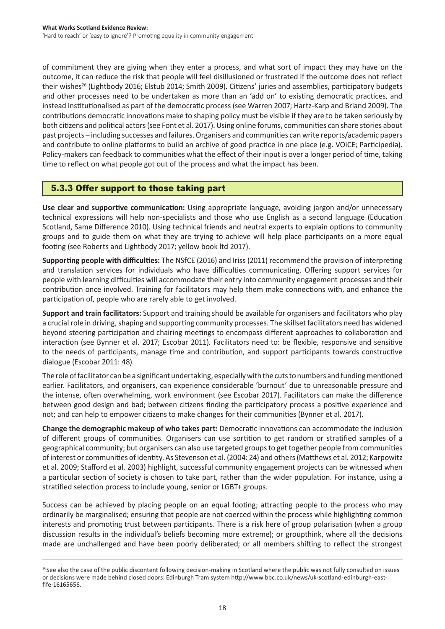of commitment they are giving when they enter a process, and what sort of impact they may have on the outcome, it can reduce the risk that people will feel disillusioned or frustrated if the outcome does not reflect their wishes<sup>26</sup> (Lightbody 2016; Elstub 2014; Smith 2009). Citizens' juries and assemblies, participatory budgets and other processes need to be undertaken as more than an 'add on' to existing democratic practices, and instead institutionalised as part of the democratic process (see Warren 2007; Hartz-Karp and Briand 2009). The contributions democratic innovations make to shaping policy must be visible if they are to be taken seriously by both citizens and political actors(see Font et al. 2017). Using online forums, communities can share stories about past projects – including successes and failures.Organisers and communities can write reports/academic papers and contribute to online platforms to build an archive of good practice in one place (e.g. VOiCE; Participedia). Policy-makers can feedback to communities what the effect of their input is over a longer period of time, taking time to reflect on what people got out of the process and what the impact has been.

# 5.3.3 Offer support to those taking part

**Use clear and supportive communication:** Using appropriate language, avoiding jargon and/or unnecessary technical expressions will help non-specialists and those who use English as a second language (Education Scotland, Same Difference 2010). Using technical friends and neutral experts to explain options to community groups and to guide them on what they are trying to achieve will help place participants on a more equal footing (see Roberts and Lightbody 2017; yellow book ltd 2017).

**Supporting people with difficulties:** The NSfCE (2016) and Iriss (2011) recommend the provision of interpreting and translation services for individuals who have difficulties communicating. Offering support services for people with learning difficulties will accommodate their entry into community engagement processes and their contribution once involved. Training for facilitators may help them make connections with, and enhance the participation of, people who are rarely able to get involved.

**Support and train facilitators:** Support and training should be available for organisers and facilitators who play a crucial role in driving, shaping and supporting community processes. The skillset facilitators need has widened beyond steering participation and chairing meetings to encompass different approaches to collaboration and interaction (see Bynner et al. 2017; Escobar 2011). Facilitators need to: be flexible, responsive and sensitive to the needs of participants, manage time and contribution, and support participants towards constructive dialogue (Escobar 2011: 48).

The role of facilitator can be a significant undertaking, especially with the cuts to numbers and funding mentioned earlier. Facilitators, and organisers, can experience considerable 'burnout' due to unreasonable pressure and the intense, often overwhelming, work environment (see Escobar 2017). Facilitators can make the difference between good design and bad; between citizens finding the participatory process a positive experience and not; and can help to empower citizens to make changes for their communities (Bynner et al. 2017).

**Change the demographic makeup of who takes part:** Democratic innovations can accommodate the inclusion of different groups of communities. Organisers can use sortition to get random or stratified samples of a geographical community; but organisers can also use targeted groupsto get together people from communities of interest or communities of identity. As Stevenson et al. (2004: 24) and others(Matthews et al. 2012; Karpowitz et al. 2009; Stafford et al. 2003) highlight, successful community engagement projects can be witnessed when a particular section of society is chosen to take part, rather than the wider population. For instance, using a stratified selection process to include young, senior or LGBT+ groups.

Success can be achieved by placing people on an equal footing; attracting people to the process who may ordinarily be marginalised; ensuring that people are not coerced within the process while highlighting common interests and promoting trust between participants. There is a risk here of group polarisation (when a group discussion results in the individual's beliefs becoming more extreme); or groupthink, where all the decisions made are unchallenged and have been poorly deliberated; or all members shifting to reflect the strongest

<sup>&</sup>lt;sup>26</sup>See also the case of the public discontent following decision-making in Scotland where the public was not fully consulted on issues or decisions were made behind closed doors: Edinburgh Tram system http://www.bbc.co.uk/news/uk-scotland-edinburgh-eastfife-16165656.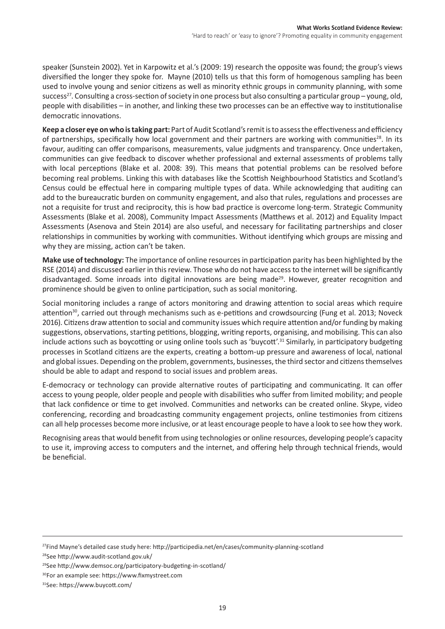speaker (Sunstein 2002). Yet in Karpowitz et al.'s (2009: 19) research the opposite was found; the group's views diversified the longer they spoke for. Mayne (2010) tells us that this form of homogenous sampling has been used to involve young and senior citizens as well as minority ethnic groups in community planning, with some success<sup>27</sup>. Consulting a cross-section of society in one process but also consulting a particular group – young, old, people with disabilities – in another, and linking these two processes can be an effective way to institutionalise democratic innovations.

**Keep a closer eye on who is taking part:** Part of Audit Scotland's remit is to assess the effectiveness and efficiency of partnerships, specifically how local government and their partners are working with communities<sup>28</sup>. In its favour, auditing can offer comparisons, measurements, value judgments and transparency. Once undertaken, communities can give feedback to discover whether professional and external assessments of problems tally with local perceptions (Blake et al. 2008: 39). This means that potential problems can be resolved before becoming real problems. Linking this with databases like the Scottish Neighbourhood Statistics and Scotland's Census could be effectual here in comparing multiple types of data. While acknowledging that auditing can add to the bureaucratic burden on community engagement, and also that rules, regulations and processes are not a requisite for trust and reciprocity, this is how bad practice is overcome long-term. Strategic Community Assessments (Blake et al. 2008), Community Impact Assessments (Matthews et al. 2012) and Equality Impact Assessments (Asenova and Stein 2014) are also useful, and necessary for facilitating partnerships and closer relationships in communities by working with communities. Without identifying which groups are missing and why they are missing, action can't be taken.

**Make use of technology:** The importance of online resourcesin participation parity has been highlighted by the RSE (2014) and discussed earlier in this review. Those who do not have access to the internet will be significantly disadvantaged. Some inroads into digital innovations are being made<sup>29</sup>. However, greater recognition and prominence should be given to online participation, such as social monitoring.

Social monitoring includes a range of actors monitoring and drawing attention to social areas which require attention<sup>30</sup>, carried out through mechanisms such as e-petitions and crowdsourcing (Fung et al. 2013; Noveck 2016). Citizens draw attention to social and community issues which require attention and/or funding by making suggestions, observations, starting petitions, blogging, writing reports, organising, and mobilising. This can also include actions such as boycotting or using online tools such as 'buycott'.<sup>31</sup> Similarly, in participatory budgeting processes in Scotland citizens are the experts, creating a bottom-up pressure and awareness of local, national and global issues. Depending on the problem, governments, businesses, the third sector and citizensthemselves should be able to adapt and respond to social issues and problem areas.

E-democracy or technology can provide alternative routes of participating and communicating. It can offer access to young people, older people and people with disabilities who suffer from limited mobility; and people that lack confidence or time to get involved. Communities and networks can be created online. Skype, video conferencing, recording and broadcasting community engagement projects, online testimonies from citizens can all help processes become more inclusive, or at least encourage people to have a look to see how they work.

Recognising areasthat would benefit from using technologies or online resources, developing people's capacity to use it, improving access to computers and the internet, and offering help through technical friends, would be beneficial.

<sup>28</sup>See http://www.audit-scotland.gov.uk/

<sup>27</sup>Find Mayne's detailed case study here: http://participedia.net/en/cases/community-planning-scotland

<sup>29</sup>See http://www.demsoc.org/participatory-budgeting-in-scotland/

<sup>30</sup>For an example see: https://www.fixmystreet.com

<sup>31</sup>See: https://www.buycott.com/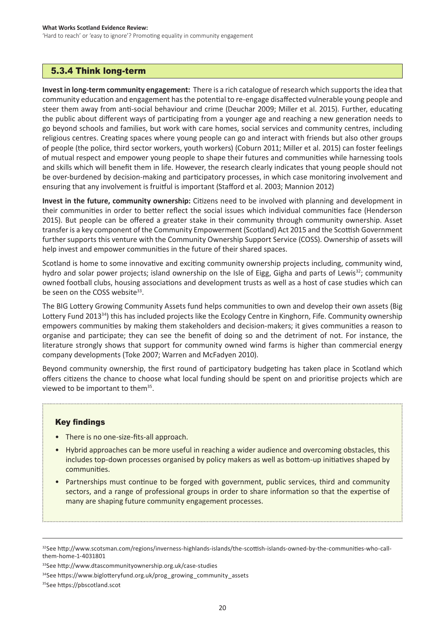## 5.3.4 Think long-term

**Invest in long-term community engagement:** There is a rich catalogue of research which supports the idea that community education and engagement hasthe potential to re-engage disaffected vulnerable young people and steer them away from anti-social behaviour and crime (Deuchar 2009; Miller et al. 2015). Further, educating the public about different ways of participating from a younger age and reaching a new generation needs to go beyond schools and families, but work with care homes, social services and community centres, including religious centres. Creating spaces where young people can go and interact with friends but also other groups of people (the police, third sector workers, youth workers) (Coburn 2011; Miller et al. 2015) can foster feelings of mutual respect and empower young people to shape their futures and communities while harnessing tools and skills which will benefit them in life. However, the research clearly indicates that young people should not be over-burdened by decision-making and participatory processes, in which case monitoring involvement and ensuring that any involvement is fruitful is important (Stafford et al. 2003; Mannion 2012)

**Invest in the future, community ownership:** Citizens need to be involved with planning and development in their communities in order to better reflect the social issues which individual communities face (Henderson 2015). But people can be offered a greater stake in their community through community ownership. Asset transfer is a key component of the Community Empowerment (Scotland) Act 2015 and the Scottish Government further supports this venture with the Community Ownership Support Service (COSS). Ownership of assets will help invest and empower communities in the future of their shared spaces.

Scotland is home to some innovative and exciting community ownership projects including, community wind, hydro and solar power projects; island ownership on the Isle of Eigg, Gigha and parts of Lewis<sup>32</sup>; community owned football clubs, housing associations and development trusts as well as a host of case studies which can be seen on the COSS website<sup>33</sup>.

The BIG Lottery Growing Community Assets fund helps communities to own and develop their own assets (Big Lottery Fund 2013<sup>34</sup>) this has included projects like the Ecology Centre in Kinghorn, Fife. Community ownership empowers communities by making them stakeholders and decision-makers; it gives communities a reason to organise and participate; they can see the benefit of doing so and the detriment of not. For instance, the literature strongly shows that support for community owned wind farms is higher than commercial energy company developments (Toke 2007; Warren and McFadyen 2010).

Beyond community ownership, the first round of participatory budgeting has taken place in Scotland which offers citizens the chance to choose what local funding should be spent on and prioritise projects which are viewed to be important to them<sup>35</sup>.

## Key findings

- There is no one-size-fits-all approach.
- Hybrid approaches can be more useful in reaching a wider audience and overcoming obstacles, this includes top-down processes organised by policy makers as well as bottom-up initiatives shaped by communities.
- Partnerships must continue to be forged with government, public services, third and community sectors, and a range of professional groups in order to share information so that the expertise of many are shaping future community engagement processes.

<sup>32</sup>See http://www.scotsman.com/regions/inverness-highlands-islands/the-scottish-islands-owned-by-the-communities-who-callthem-home-1-4031801

<sup>33</sup>See http://www.dtascommunityownership.org.uk/case-studies

<sup>34</sup>See https://www.biglotteryfund.org.uk/prog\_growing\_community\_assets

<sup>35</sup>See https://pbscotland.scot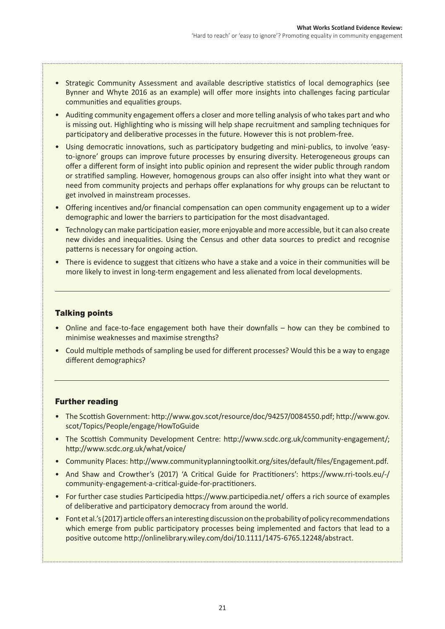- Strategic Community Assessment and available descriptive statistics of local demographics (see Bynner and Whyte 2016 as an example) will offer more insights into challenges facing particular communities and equalities groups.
- • Auditing community engagement offers a closer and more telling analysis of who takes part and who is missing out. Highlighting who is missing will help shape recruitment and sampling techniques for participatory and deliberative processes in the future. However this is not problem-free.
- Using democratic innovations, such as participatory budgeting and mini-publics, to involve 'easyto-ignore' groups can improve future processes by ensuring diversity. Heterogeneous groups can offer a different form of insight into public opinion and represent the wider public through random or stratified sampling. However, homogenous groups can also offer insight into what they want or need from community projects and perhaps offer explanations for why groups can be reluctant to get involved in mainstream processes.
- Offering incentives and/or financial compensation can open community engagement up to a wider demographic and lower the barriers to participation for the most disadvantaged.
- Technology can make participation easier, more enjoyable and more accessible, but it can also create new divides and inequalities. Using the Census and other data sources to predict and recognise patterns is necessary for ongoing action.
- There is evidence to suggest that citizens who have a stake and a voice in their communities will be more likely to invest in long-term engagement and less alienated from local developments.

## Talking points

- Online and face-to-face engagement both have their downfalls how can they be combined to minimise weaknesses and maximise strengths?
- • Could multiple methods of sampling be used for different processes? Would this be a way to engage different demographics?

## Further reading

- The Scottish Government: http://www.gov.scot/resource/doc/94257/0084550.pdf; http://www.gov. scot/Topics/People/engage/HowToGuide
- The Scottish Community Development Centre: http://www.scdc.org.uk/community-engagement/; http://www.scdc.org.uk/what/voice/
- Community Places: http://www.communityplanningtoolkit.org/sites/default/files/Engagement.pdf.
- And Shaw and Crowther's (2017) 'A Critical Guide for Practitioners': https://www.rri-tools.eu/-/ community-engagement-a-critical-guide-for-practitioners.
- • For further case studies Participedia https://www.participedia.net/ offers a rich source of examples of deliberative and participatory democracy from around the world.
- Font et al.'s (2017) article offers an interesting discussion on the probability of policy recommendations which emerge from public participatory processes being implemented and factors that lead to a positive outcome http://onlinelibrary.wiley.com/doi/10.1111/1475-6765.12248/abstract.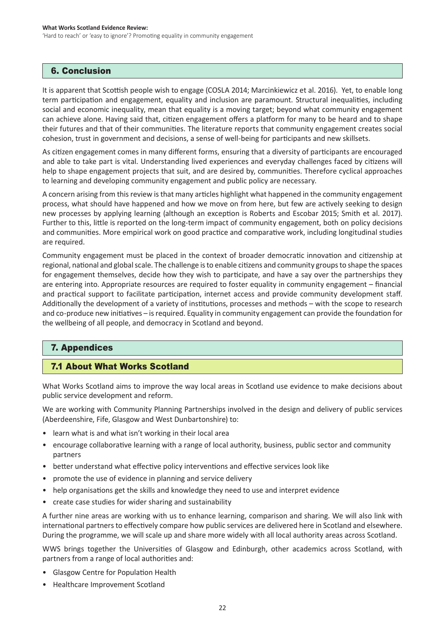## 6. Conclusion

It is apparent that Scottish people wish to engage (COSLA 2014; Marcinkiewicz et al. 2016). Yet, to enable long term participation and engagement, equality and inclusion are paramount. Structural inequalities, including social and economic inequality, mean that equality is a moving target; beyond what community engagement can achieve alone. Having said that, citizen engagement offers a platform for many to be heard and to shape their futures and that of their communities. The literature reports that community engagement creates social cohesion, trust in government and decisions, a sense of well-being for participants and new skillsets.

As citizen engagement comes in many different forms, ensuring that a diversity of participants are encouraged and able to take part is vital. Understanding lived experiences and everyday challenges faced by citizens will help to shape engagement projects that suit, and are desired by, communities. Therefore cyclical approaches to learning and developing community engagement and public policy are necessary.

A concern arising from thisreview isthat many articles highlight what happened in the community engagement process, what should have happened and how we move on from here, but few are actively seeking to design new processes by applying learning (although an exception is Roberts and Escobar 2015; Smith et al. 2017). Further to this, little is reported on the long-term impact of community engagement, both on policy decisions and communities. More empirical work on good practice and comparative work, including longitudinal studies are required.

Community engagement must be placed in the context of broader democratic innovation and citizenship at regional, national and globalscale. The challenge isto enable citizens and community groupsto shape the spaces for engagement themselves, decide how they wish to participate, and have a say over the partnerships they are entering into. Appropriate resources are required to foster equality in community engagement – financial and practical support to facilitate participation, internet access and provide community development staff. Additionally the development of a variety of institutions, processes and methods – with the scope to research and co-produce new initiatives – is required. Equality in community engagement can provide the foundation for the wellbeing of all people, and democracy in Scotland and beyond.

# 7. Appendices

# 7.1 About What Works Scotland

What Works Scotland aims to improve the way local areas in Scotland use evidence to make decisions about public service development and reform.

We are working with Community Planning Partnerships involved in the design and delivery of public services (Aberdeenshire, Fife, Glasgow and West Dunbartonshire) to:

- learn what is and what isn't working in their local area
- encourage collaborative learning with a range of local authority, business, public sector and community partners
- better understand what effective policy interventions and effective services look like
- promote the use of evidence in planning and service delivery
- help organisations get the skills and knowledge they need to use and interpret evidence
- create case studies for wider sharing and sustainability

A further nine areas are working with us to enhance learning, comparison and sharing. We will also link with international partners to effectively compare how public services are delivered here in Scotland and elsewhere. During the programme, we will scale up and share more widely with all local authority areas across Scotland.

WWS brings together the Universities of Glasgow and Edinburgh, other academics across Scotland, with partners from a range of local authorities and:

- • Glasgow Centre for Population Health
- Healthcare Improvement Scotland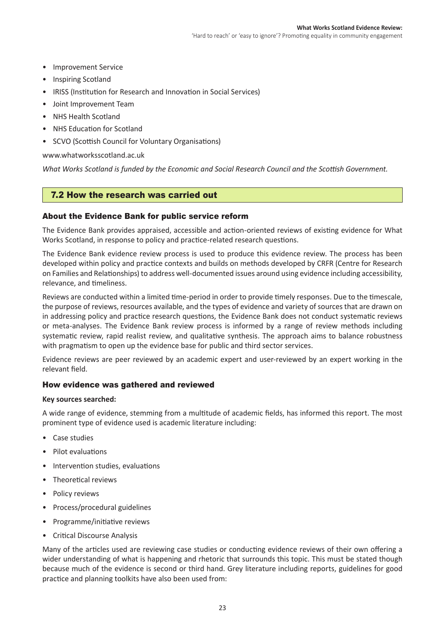- Improvement Service
- Inspiring Scotland
- IRISS (Institution for Research and Innovation in Social Services)
- • Joint Improvement Team
- • NHS Health Scotland
- • NHS Education for Scotland
- • SCVO (Scottish Council for Voluntary Organisations)

### www.whatworksscotland.ac.uk

*What Works Scotland is funded by the Economic and Social Research Council and the Scottish Government.*

## 7.2 How the research was carried out

### About the Evidence Bank for public service reform

The Evidence Bank provides appraised, accessible and action-oriented reviews of existing evidence for What Works Scotland, in response to policy and practice-related research questions.

The Evidence Bank evidence review process is used to produce this evidence review. The process has been developed within policy and practice contexts and builds on methods developed by CRFR (Centre for Research on Families and Relationships) to address well-documented issues around using evidence including accessibility, relevance, and timeliness.

Reviews are conducted within a limited time-period in order to provide timely responses. Due to the timescale, the purpose of reviews, resources available, and the types of evidence and variety of sources that are drawn on in addressing policy and practice research questions, the Evidence Bank does not conduct systematic reviews or meta-analyses. The Evidence Bank review process is informed by a range of review methods including systematic review, rapid realist review, and qualitative synthesis. The approach aims to balance robustness with pragmatism to open up the evidence base for public and third sector services.

Evidence reviews are peer reviewed by an academic expert and user-reviewed by an expert working in the relevant field.

## How evidence was gathered and reviewed

### **Key sources searched:**

A wide range of evidence, stemming from a multitude of academic fields, has informed this report. The most prominent type of evidence used is academic literature including:

- Case studies
- • Pilot evaluations
- Intervention studies, evaluations
- • Theoretical reviews
- Policy reviews
- • Process/procedural guidelines
- Programme/initiative reviews
- • Critical Discourse Analysis

Many of the articles used are reviewing case studies or conducting evidence reviews of their own offering a wider understanding of what is happening and rhetoric that surrounds this topic. This must be stated though because much of the evidence is second or third hand. Grey literature including reports, guidelines for good practice and planning toolkits have also been used from: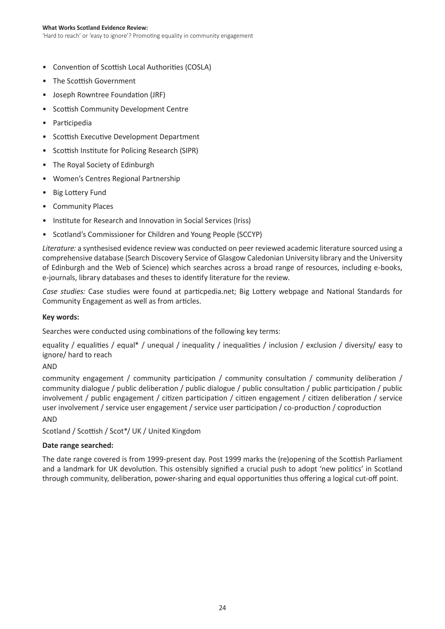#### **What Works Scotland Evidence Review:**

'Hard to reach' or 'easy to ignore'? Promoting equality in community engagement

- • Convention of Scottish Local Authorities (COSLA)
- The Scottish Government
- Joseph Rowntree Foundation (JRF)
- • Scottish Community Development Centre
- • Participedia
- • Scottish Executive Development Department
- • Scottish Institute for Policing Research (SIPR)
- The Royal Society of Edinburgh
- Women's Centres Regional Partnership
- • Big Lottery Fund
- Community Places
- Institute for Research and Innovation in Social Services (Iriss)
- Scotland's Commissioner for Children and Young People (SCCYP)

*Literature:* a synthesised evidence review was conducted on peer reviewed academic literature sourced using a comprehensive database (Search Discovery Service of Glasgow Caledonian University library and the University of Edinburgh and the Web of Science) which searches across a broad range of resources, including e-books, e-journals, library databases and theses to identify literature for the review.

*Case studies:* Case studies were found at particpedia.net; Big Lottery webpage and National Standards for Community Engagement as well as from articles.

### **Key words:**

Searches were conducted using combinations of the following key terms:

equality / equalities / equal\* / unequal / inequality / inequalities / inclusion / exclusion / diversity/ easy to ignore/ hard to reach

### AND

community engagement / community participation / community consultation / community deliberation / community dialogue / public deliberation / public dialogue / public consultation / public participation / public involvement / public engagement / citizen participation / citizen engagement / citizen deliberation / service user involvement / service user engagement / service user participation / co-production / coproduction

### AND

Scotland / Scottish / Scot\*/ UK / United Kingdom

### **Date range searched:**

The date range covered is from 1999-present day. Post 1999 marks the (re)opening of the Scottish Parliament and a landmark for UK devolution. This ostensibly signified a crucial push to adopt 'new politics' in Scotland through community, deliberation, power-sharing and equal opportunities thus offering a logical cut-off point.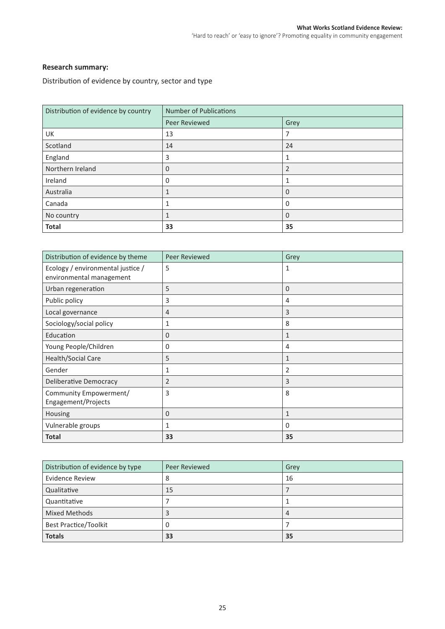### **Research summary:**

Distribution of evidence by country, sector and type

| Distribution of evidence by country | <b>Number of Publications</b> |                |  |
|-------------------------------------|-------------------------------|----------------|--|
|                                     | Peer Reviewed                 | Grey           |  |
| UK                                  | 13                            | 7              |  |
| Scotland                            | 14                            | 24             |  |
| England                             | 3                             | 1              |  |
| Northern Ireland                    | 0                             | $\overline{2}$ |  |
| Ireland                             | 0                             | 1              |  |
| Australia                           |                               | $\Omega$       |  |
| Canada                              | 1                             | 0              |  |
| No country                          | 1                             | $\Omega$       |  |
| <b>Total</b>                        | 33                            | 35             |  |

| Distribution of evidence by theme                             | Peer Reviewed  | Grey           |
|---------------------------------------------------------------|----------------|----------------|
| Ecology / environmental justice /<br>environmental management | 5              | 1              |
| Urban regeneration                                            | 5              | $\Omega$       |
| Public policy                                                 | 3              | 4              |
| Local governance                                              | $\overline{4}$ | 3              |
| Sociology/social policy                                       | 1              | 8              |
| Education                                                     | $\mathbf{0}$   | $\mathbf{1}$   |
| Young People/Children                                         | 0              | 4              |
| <b>Health/Social Care</b>                                     | 5              | $\mathbf{1}$   |
| Gender                                                        | 1              | $\overline{2}$ |
| Deliberative Democracy                                        | $\overline{2}$ | 3              |
| Community Empowerment/<br>Engagement/Projects                 | 3              | 8              |
| Housing                                                       | $\mathbf{0}$   | $\mathbf{1}$   |
| Vulnerable groups                                             | 1              | $\mathbf 0$    |
| <b>Total</b>                                                  | 33             | 35             |

| Distribution of evidence by type | Peer Reviewed | Grey |
|----------------------------------|---------------|------|
| Evidence Review                  | 8             | 16   |
| Qualitative                      | 15            |      |
| Quantitative                     |               |      |
| <b>Mixed Methods</b>             | 3             | 4    |
| <b>Best Practice/Toolkit</b>     | 0             |      |
| <b>Totals</b>                    | 33            | 35   |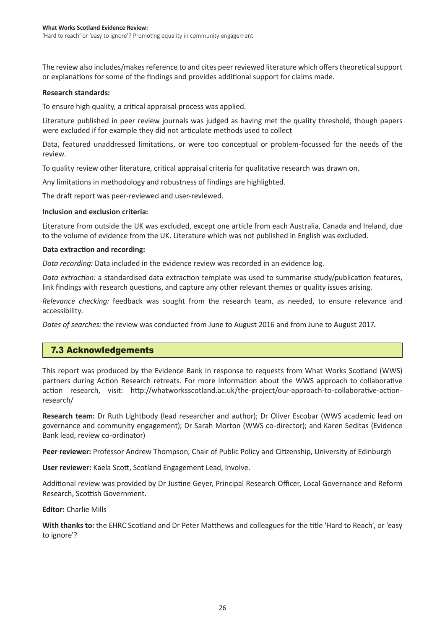The review also includes/makes reference to and cites peer reviewed literature which offers theoretical support or explanations for some of the findings and provides additional support for claims made.

### **Research standards:**

To ensure high quality, a critical appraisal process was applied.

Literature published in peer review journals was judged as having met the quality threshold, though papers were excluded if for example they did not articulate methods used to collect

Data, featured unaddressed limitations, or were too conceptual or problem-focussed for the needs of the review.

To quality review other literature, critical appraisal criteria for qualitative research was drawn on.

Any limitations in methodology and robustness of findings are highlighted.

The draft report was peer-reviewed and user-reviewed.

### **Inclusion and exclusion criteria:**

Literature from outside the UK was excluded, except one article from each Australia, Canada and Ireland, due to the volume of evidence from the UK. Literature which was not published in English was excluded.

### **Data extraction and recording:**

*Data recording:* Data included in the evidence review was recorded in an evidence log.

*Data extraction:* a standardised data extraction template was used to summarise study/publication features, link findings with research questions, and capture any other relevant themes or quality issues arising.

*Relevance checking:* feedback was sought from the research team, as needed, to ensure relevance and accessibility.

*Dates of searches:* the review was conducted from June to August 2016 and from June to August 2017.

## 7.3 Acknowledgements

This report was produced by the Evidence Bank in response to requests from What Works Scotland (WWS) partners during Action Research retreats. For more information about the WWS approach to collaborative action research, visit: http://whatworksscotland.ac.uk/the-project/our-approach-to-collaborative-actionresearch/

**Research team:** Dr Ruth Lightbody (lead researcher and author); Dr Oliver Escobar (WWS academic lead on governance and community engagement); Dr Sarah Morton (WWS co-director); and Karen Seditas (Evidence Bank lead, review co-ordinator)

**Peer reviewer:** Professor Andrew Thompson, Chair of Public Policy and Citizenship, University of Edinburgh

**User reviewer:** Kaela Scott, Scotland Engagement Lead, Involve.

Additional review was provided by Dr Justine Geyer, Principal Research Officer, Local Governance and Reform Research, Scottish Government.

**Editor:** Charlie Mills

**With thanks to:** the EHRC Scotland and Dr Peter Matthews and colleagues for the title 'Hard to Reach', or 'easy to ignore'?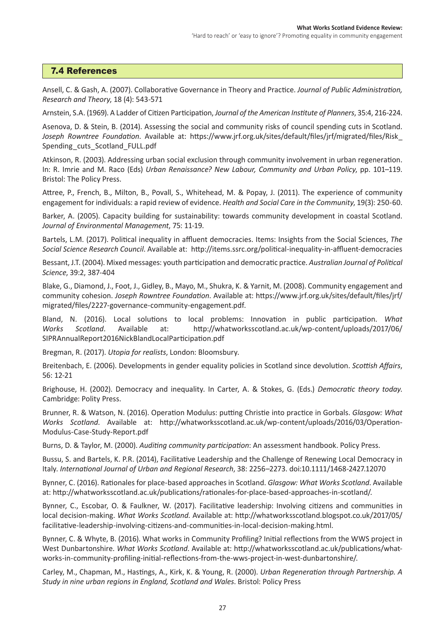## 7.4 References

Ansell, C. & Gash, A. (2007). Collaborative Governance in Theory and Practice. *Journal of Public Administration, Research and Theory*, 18 (4): 543-571

Arnstein, S.A. (1969). A Ladder of Citizen Participation, *Journal of the American Institute of Planners*, 35:4, 216-224.

Asenova, D. & Stein, B. (2014). Assessing the social and community risks of council spending cuts in Scotland. *Joseph Rowntree Foundation*. Available at: https://www.jrf.org.uk/sites/default/files/jrf/migrated/files/Risk\_ Spending cuts Scotland FULL.pdf

Atkinson, R. (2003). Addressing urban social exclusion through community involvement in urban regeneration. In: R. Imrie and M. Raco (Eds) *Urban Renaissance? New Labour, Community and Urban Policy*, pp. 101–119. Bristol: The Policy Press.

Attree, P., French, B., Milton, B., Povall, S., Whitehead, M. & Popay, J. (2011). The experience of community engagement for individuals: a rapid review of evidence. *Health and Social Care in the Community*, 19(3): 250-60.

Barker, A. (2005). Capacity building for sustainability: towards community development in coastal Scotland. *Journal of Environmental Management*, 75: 11-19.

Bartels, L.M. (2017). Political inequality in affluent democracies. Items: Insights from the Social Sciences, *The Social Science Research Council*. Available at: http://items.ssrc.org/political-inequality-in-affluent-democracies

Bessant, J.T. (2004). Mixed messages: youth participation and democratic practice. *Australian Journal of Political Science*, 39:2, 387-404

Blake, G., Diamond, J., Foot, J., Gidley, B., Mayo, M., Shukra, K. & Yarnit, M. (2008). Community engagement and community cohesion. *Joseph Rowntree Foundation*. Available at: https://www.jrf.org.uk/sites/default/files/jrf/ migrated/files/2227-governance-community-engagement.pdf.

Bland, N. (2016). Local solutions to local problems: Innovation in public participation. *What Works Scotland*. Available at: http://whatworksscotland.ac.uk/wp-content/uploads/2017/06/ SIPRAnnualReport2016NickBlandLocalParticipation.pdf

Bregman, R. (2017). *Utopia for realists*, London: Bloomsbury.

Breitenbach, E. (2006). Developments in gender equality policies in Scotland since devolution. *Scottish Affairs*, 56: 12-21

Brighouse, H. (2002). Democracy and inequality. In Carter, A. & Stokes, G. (Eds.) *Democratic theory today*. Cambridge: Polity Press.

Brunner, R. & Watson, N. (2016). Operation Modulus: putting Christie into practice in Gorbals. *Glasgow: What Works Scotland*. Available at: http://whatworksscotland.ac.uk/wp-content/uploads/2016/03/Operation-Modulus-Case-Study-Report.pdf

Burns, D. & Taylor, M. (2000). *Auditing community participation*: An assessment handbook. Policy Press.

Bussu, S. and Bartels, K. P.R. (2014), Facilitative Leadership and the Challenge of Renewing Local Democracy in Italy. *International Journal of Urban and Regional Research*, 38: 2256–2273. doi:10.1111/1468-2427.12070

Bynner, C. (2016). Rationales for place-based approaches in Scotland. *Glasgow: What Works Scotland*. Available at: http://whatworksscotland.ac.uk/publications/rationales-for-place-based-approaches-in-scotland/.

Bynner, C., Escobar, O. & Faulkner, W. (2017). Facilitative leadership: Involving citizens and communities in local decision-making. *What Works Scotland*. Available at: http://whatworksscotland.blogspot.co.uk/2017/05/ facilitative-leadership-involving-citizens-and-communities-in-local-decision-making.html.

Bynner, C. & Whyte, B. (2016). What works in Community Profiling? Initial reflections from the WWS project in West Dunbartonshire. *What Works Scotland*. Available at: http://whatworksscotland.ac.uk/publications/whatworks-in-community-profiling-initial-reflections-from-the-wws-project-in-west-dunbartonshire/.

Carley, M., Chapman, M., Hastings, A., Kirk, K. & Young, R. (2000). *Urban Regeneration through Partnership. A Study in nine urban regions in England, Scotland and Wales*. Bristol: Policy Press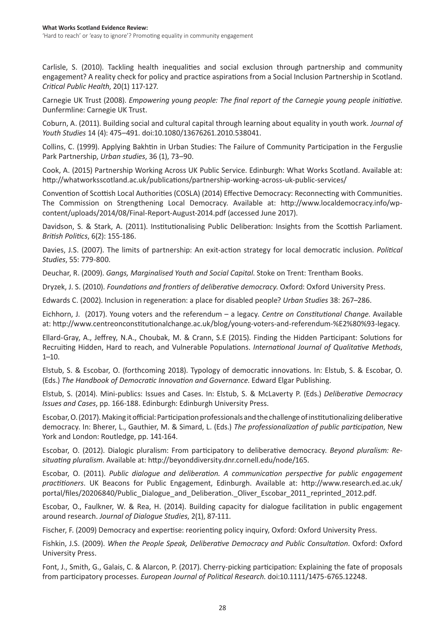Carlisle, S. (2010). Tackling health inequalities and social exclusion through partnership and community engagement? A reality check for policy and practice aspirations from a Social Inclusion Partnership in Scotland. *Critical Public Health*, 20(1) 117-127.

Carnegie UK Trust (2008). *Empowering young people: The final report of the Carnegie young people initiative*. Dunfermline: Carnegie UK Trust.

Coburn, A. (2011). Building social and cultural capital through learning about equality in youth work. *Journal of Youth Studies* 14 (4): 475–491. doi:10.1080/13676261.2010.538041.

Collins, C. (1999). Applying Bakhtin in Urban Studies: The Failure of Community Participation in the Ferguslie Park Partnership, *Urban studies*, 36 (1), 73–90.

Cook, A. (2015) Partnership Working Across UK Public Service. Edinburgh: What Works Scotland. Available at: http://whatworksscotland.ac.uk/publications/partnership-working-across-uk-public-services/

Convention of Scottish Local Authorities (COSLA) (2014) Effective Democracy: Reconnecting with Communities. The Commission on Strengthening Local Democracy. Available at: http://www.localdemocracy.info/wpcontent/uploads/2014/08/Final-Report-August-2014.pdf (accessed June 2017).

Davidson, S. & Stark, A. (2011). Institutionalising Public Deliberation: Insights from the Scottish Parliament. *British Politics*, 6(2): 155-186.

Davies, J.S. (2007). The limits of partnership: An exit-action strategy for local democratic inclusion. *Political Studies*, 55: 779-800.

Deuchar, R. (2009). *Gangs, Marginalised Youth and Social Capital*. Stoke on Trent: Trentham Books.

Dryzek, J. S. (2010). *Foundations and frontiers of deliberative democracy*. Oxford: Oxford University Press.

Edwards C. (2002). Inclusion in regeneration: a place for disabled people? *Urban Studies* 38: 267–286.

Eichhorn, J. (2017). Young voters and the referendum – a legacy. *Centre on Constitutional Change*. Available at: http://www.centreonconstitutionalchange.ac.uk/blog/young-voters-and-referendum-%E2%80%93-legacy.

Ellard-Gray, A., Jeffrey, N.A., Choubak, M. & Crann, S.E (2015). Finding the Hidden Participant: Solutions for Recruiting Hidden, Hard to reach, and Vulnerable Populations. *International Journal of Qualitative Methods*,  $1 - 10$ .

Elstub, S. & Escobar, O. (forthcoming 2018). Typology of democratic innovations. In: Elstub, S. & Escobar, O. (Eds.) *The Handbook of Democratic Innovation and Governance*. Edward Elgar Publishing.

Elstub, S. (2014). Mini-publics: Issues and Cases. In: Elstub, S. & McLaverty P. (Eds.) *Deliberative Democracy Issues and Cases*, pp. 166-188. Edinburgh: Edinburgh University Press.

Escobar,O.(2017).Makingitofficial:Participationprofessionalsandthechallengeofinstitutionalizingdeliberative democracy. In: Bherer, L., Gauthier, M. & Simard, L. (Eds.) *The professionalization of public participation*, New York and London: Routledge, pp. 141-164.

Escobar, O. (2012). Dialogic pluralism: From participatory to deliberative democracy. *Beyond pluralism: Resituating pluralism*. Available at: http://beyonddiversity.dnr.cornell.edu/node/165.

Escobar, O. (2011). *Public dialogue and deliberation. A communication perspective for public engagement practitioners*. UK Beacons for Public Engagement, Edinburgh. Available at: http://www.research.ed.ac.uk/ portal/files/20206840/Public\_Dialogue\_and\_Deliberation.\_Oliver\_Escobar\_2011\_reprinted\_2012.pdf.

Escobar, O., Faulkner, W. & Rea, H. (2014). Building capacity for dialogue facilitation in public engagement around research. *Journal of Dialogue Studies*, 2(1), 87-111.

Fischer, F. (2009) Democracy and expertise: reorienting policy inquiry, Oxford: Oxford University Press.

Fishkin, J.S. (2009). *When the People Speak, Deliberative Democracy and Public Consultation*. Oxford: Oxford University Press.

Font, J., Smith, G., Galais, C. & Alarcon, P. (2017). Cherry-picking participation: Explaining the fate of proposals from participatory processes. *European Journal of Political Research*. doi:10.1111/1475-6765.12248.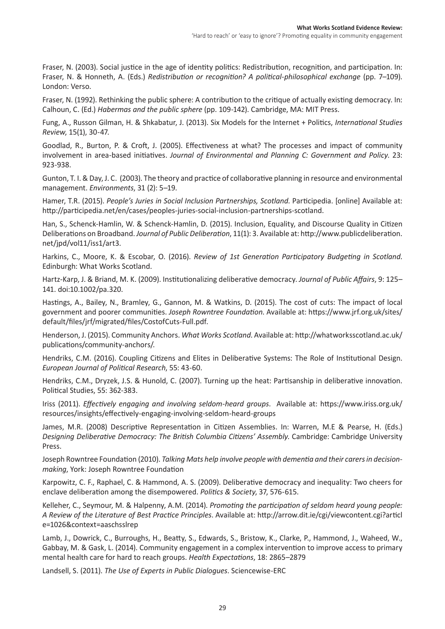Fraser, N. (2003). Social justice in the age of identity politics: Redistribution, recognition, and participation. In: Fraser, N. & Honneth, A. (Eds.) *Redistribution or recognition? A political-philosophical exchange* (pp. 7–109). London: Verso.

Fraser, N. (1992). Rethinking the public sphere: A contribution to the critique of actually existing democracy. In: Calhoun, C. (Ed.) *Habermas and the public sphere* (pp. 109-142). Cambridge, MA: MIT Press.

Fung, A., Russon Gilman, H. & Shkabatur, J. (2013). Six Models for the Internet + Politics, *International Studies Review*, 15(1), 30-47.

Goodlad, R., Burton, P. & Croft, J. (2005). Effectiveness at what? The processes and impact of community involvement in area-based initiatives. *Journal of Environmental and Planning C: Government and Policy*. 23: 923-938.

Gunton, T. I.&Day, J. C. (2003). The theory and practice of collaborative planning in resource and environmental management. *Environments*, 31 (2): 5–19.

Hamer, T.R. (2015). *People's Juries in Social Inclusion Partnerships, Scotland*. Participedia. [online] Available at: http://participedia.net/en/cases/peoples-juries-social-inclusion-partnerships-scotland.

Han, S., Schenck-Hamlin, W. & Schenck-Hamlin, D. (2015). Inclusion, Equality, and Discourse Quality in Citizen Deliberations on Broadband. *Journal of Public Deliberation*, 11(1): 3. Available at: http://www.publicdeliberation. net/jpd/vol11/iss1/art3.

Harkins, C., Moore, K. & Escobar, O. (2016). *Review of 1st Generation Participatory Budgeting in Scotland*. Edinburgh: What Works Scotland.

Hartz-Karp, J. & Briand, M. K. (2009). Institutionalizing deliberative democracy. *Journal of Public Affairs*, 9: 125– 141. doi:10.1002/pa.320.

Hastings, A., Bailey, N., Bramley, G., Gannon, M. & Watkins, D. (2015). The cost of cuts: The impact of local government and poorer communities. *Joseph Rowntree Foundation*. Available at: https://www.jrf.org.uk/sites/ default/files/jrf/migrated/files/CostofCuts-Full.pdf.

Henderson, J. (2015). Community Anchors. *What Works Scotland*. Available at: http://whatworksscotland.ac.uk/ publications/community-anchors/.

Hendriks, C.M. (2016). Coupling Citizens and Elites in Deliberative Systems: The Role of Institutional Design. *European Journal of Political Research*, 55: 43-60.

Hendriks, C.M., Dryzek, J.S. & Hunold, C. (2007). Turning up the heat: Partisanship in deliberative innovation. Political Studies, 55: 362-383.

Iriss (2011). *Effectively engaging and involving seldom-heard groups*. Available at: https://www.iriss.org.uk/ resources/insights/effectively-engaging-involving-seldom-heard-groups

James, M.R. (2008) Descriptive Representation in Citizen Assemblies. In: Warren, M.E & Pearse, H. (Eds.) *Designing Deliberative Democracy: The British Columbia Citizens' Assembly*. Cambridge: Cambridge University Press.

Joseph Rowntree Foundation (2010). *Talking Mats help involve people with dementia and their carers in decisionmaking*, York: Joseph Rowntree Foundation

Karpowitz, C. F., Raphael, C. & Hammond, A. S. (2009). Deliberative democracy and inequality: Two cheers for enclave deliberation among the disempowered. *Politics & Society*, 37, 576-615.

Kelleher, C., Seymour, M. & Halpenny, A.M. (2014). *Promoting the participation of seldom heard young people: A Review of the Literature of Best Practice Principles*. Available at: http://arrow.dit.ie/cgi/viewcontent.cgi?articl e=1026&context=aaschsslrep

Lamb, J., Dowrick, C., Burroughs, H., Beatty, S., Edwards, S., Bristow, K., Clarke, P., Hammond, J., Waheed, W., Gabbay, M. & Gask, L. (2014). Community engagement in a complex intervention to improve access to primary mental health care for hard to reach groups. *Health Expectations*, 18: 2865–2879

Landsell, S. (2011). *The Use of Experts in Public Dialogues*. Sciencewise-ERC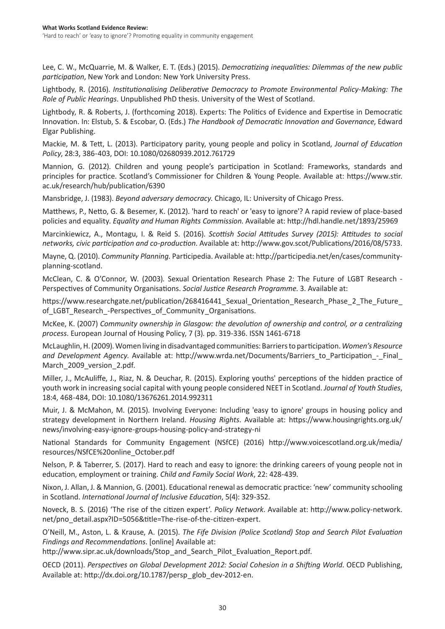Lee, C. W., McQuarrie, M. & Walker, E. T. (Eds.) (2015). *Democratizing inequalities: Dilemmas of the new public participation*, New York and London: New York University Press.

Lightbody, R. (2016). *Institutionalising Deliberative Democracy to Promote Environmental Policy-Making: The Role of Public Hearings*. Unpublished PhD thesis. University of the West of Scotland.

Lightbody, R. & Roberts, J. (forthcoming 2018). Experts: The Politics of Evidence and Expertise in Democratic Innovation. In: Elstub, S. & Escobar, O. (Eds.) *The Handbook of Democratic Innovation and Governance*, Edward Elgar Publishing.

Mackie, M. & Tett, L. (2013). Participatory parity, young people and policy in Scotland, *Journal of Education Policy*, 28:3, 386-403, DOI: 10.1080/02680939.2012.761729

Mannion, G. (2012). Children and young people's participation in Scotland: Frameworks, standards and principles for practice. Scotland's Commissioner for Children & Young People. Available at: https://www.stir. ac.uk/research/hub/publication/6390

Mansbridge, J. (1983). *Beyond adversary democracy*. Chicago, IL: University of Chicago Press.

Matthews, P., Netto, G. & Besemer, K. (2012). 'hard to reach' or 'easy to ignore'? A rapid review of place-based policies and equality. *Equality and Human Rights Commission*. Available at: http://hdl.handle.net/1893/25969

Marcinkiewicz, A., Montagu, I. & Reid S. (2016). *Scottish Social Attitudes Survey (2015): Attitudes to social networks, civic participation and co-production*. Available at: http://www.gov.scot/Publications/2016/08/5733.

Mayne, Q. (2010). *Community Planning*. Participedia. Available at: http://participedia.net/en/cases/communityplanning-scotland.

McClean, C. & O'Connor, W. (2003). Sexual Orientation Research Phase 2: The Future of LGBT Research - Perspectives of Community Organisations. *Social Justice Research Programme*. 3. Available at:

https://www.researchgate.net/publication/268416441 Sexual Orientation Research Phase 2 The Future of\_LGBT\_Research\_-Perspectives\_of\_Community\_Organisations.

McKee, K. (2007) *Community ownership in Glasgow: the devolution of ownership and control, or a centralizing process*. European Journal of Housing Policy, 7 (3). pp. 319-336. ISSN 1461-6718

McLaughlin,H.(2009).Women living in disadvantaged communities: Barriersto participation.*Women's Resource and Development Agency*. Available at: http://www.wrda.net/Documents/Barriers\_to\_Participation\_-\_Final\_ March 2009 version 2.pdf.

Miller, J., McAuliffe, J., Riaz, N. & Deuchar, R. (2015). Exploring youths' perceptions of the hidden practice of youth work in increasing social capital with young people considered NEET in Scotland. *Journal of Youth Studies*, 18:4, 468-484, DOI: 10.1080/13676261.2014.992311

Muir, J. & McMahon, M. (2015). Involving Everyone: Including 'easy to ignore' groups in housing policy and strategy development in Northern Ireland. *Housing Rights*. Available at: https://www.housingrights.org.uk/ news/involving-easy-ignore-groups-housing-policy-and-strategy-ni

National Standards for Community Engagement (NSfCE) (2016) http://www.voicescotland.org.uk/media/ resources/NSfCE%20online\_October.pdf

Nelson, P. & Taberrer, S. (2017). Hard to reach and easy to ignore: the drinking careers of young people not in education, employment or training. *Child and Family Social Work*, 22: 428-439.

Nixon, J. Allan, J. & Mannion, G. (2001). Educational renewal as democratic practice: 'new' community schooling in Scotland. *International Journal of Inclusive Education*, 5(4): 329-352.

Noveck, B. S. (2016) 'The rise of the citizen expert'. *Policy Network*. Available at: http://www.policy-network. net/pno\_detail.aspx?ID=5056&title=The-rise-of-the-citizen-expert.

O'Neill, M., Aston, L. & Krause, A. (2015). *The Fife Division (Police Scotland) Stop and Search Pilot Evaluation Findings and Recommendations*. [online] Available at:

http://www.sipr.ac.uk/downloads/Stop\_and\_Search\_Pilot\_Evaluation\_Report.pdf.

OECD (2011). *Perspectives on Global Development 2012: Social Cohesion in a Shifting World*. OECD Publishing, Available at: http://dx.doi.org/10.1787/persp\_glob\_dev-2012-en.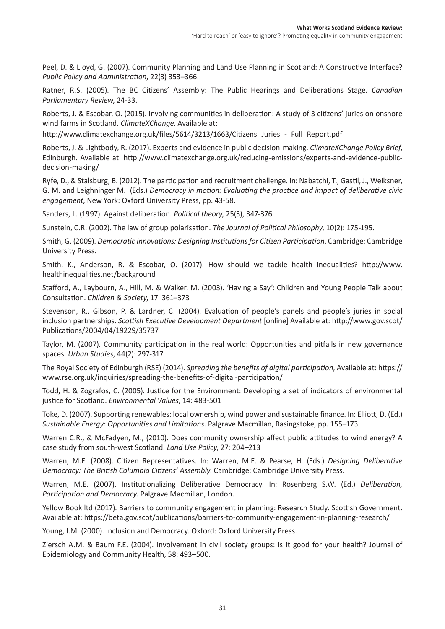Peel, D. & Lloyd, G. (2007). Community Planning and Land Use Planning in Scotland: A Constructive Interface? *Public Policy and Administration*, 22(3) 353–366.

Ratner, R.S. (2005). The BC Citizens' Assembly: The Public Hearings and Deliberations Stage. *Canadian Parliamentary Review*, 24-33.

Roberts, J. & Escobar, O. (2015). Involving communities in deliberation: A study of 3 citizens' juries on onshore wind farms in Scotland. *ClimateXChange*. Available at:

http://www.climatexchange.org.uk/files/5614/3213/1663/Citizens\_Juries\_-\_Full\_Report.pdf

Roberts, J. & Lightbody, R. (2017). Experts and evidence in public decision-making. *ClimateXChange Policy Brief*, Edinburgh. Available at: http://www.climatexchange.org.uk/reducing-emissions/experts-and-evidence-publicdecision-making/

Ryfe, D., & Stalsburg, B. (2012). The participation and recruitment challenge. In: Nabatchi, T., Gastil, J., Weiksner, G. M. and Leighninger M. (Eds.) *Democracy in motion: Evaluating the practice and impact of deliberative civic engagement*, New York: Oxford University Press, pp. 43-58.

Sanders, L. (1997). Against deliberation. *Political theory*, 25(3), 347-376.

Sunstein, C.R. (2002). The law of group polarisation. *The Journal of Political Philosophy*, 10(2): 175-195.

Smith, G. (2009). *Democratic Innovations: Designing Institutions for Citizen Participation*. Cambridge: Cambridge University Press.

Smith, K., Anderson, R. & Escobar, O. (2017). How should we tackle health inequalities? http://www. healthinequalities.net/background

Stafford, A., Laybourn, A., Hill, M. & Walker, M. (2003). 'Having a Say': Children and Young People Talk about Consultation. *Children & Society*, 17: 361–373

Stevenson, R., Gibson, P. & Lardner, C. (2004). Evaluation of people's panels and people's juries in social inclusion partnerships. *Scottish Executive Development Department* [online] Available at: http://www.gov.scot/ Publications/2004/04/19229/35737

Taylor, M. (2007). Community participation in the real world: Opportunities and pitfalls in new governance spaces. *Urban Studies*, 44(2): 297-317

The Royal Society of Edinburgh (RSE) (2014). *Spreading the benefits of digital participation*, Available at: https:// www.rse.org.uk/inquiries/spreading-the-benefits-of-digital-participation/

Todd, H. & Zografos, C. (2005). Justice for the Environment: Developing a set of indicators of environmental justice for Scotland. *Environmental Values*, 14: 483-501

Toke, D. (2007). Supporting renewables: local ownership, wind power and sustainable finance. In: Elliott, D. (Ed.) *Sustainable Energy: Opportunities and Limitations*. Palgrave Macmillan, Basingstoke, pp. 155–173

Warren C.R., & McFadyen, M., (2010). Does community ownership affect public attitudes to wind energy? A case study from south-west Scotland. *Land Use Policy*, 27: 204–213

Warren, M.E. (2008). Citizen Representatives. In: Warren, M.E. & Pearse, H. (Eds.) *Designing Deliberative Democracy: The British Columbia Citizens' Assembly*. Cambridge: Cambridge University Press.

Warren, M.E. (2007). Institutionalizing Deliberative Democracy. In: Rosenberg S.W. (Ed.) *Deliberation, Participation and Democracy*. Palgrave Macmillan, London.

Yellow Book ltd (2017). Barriers to community engagement in planning: Research Study. Scottish Government. Available at: https://beta.gov.scot/publications/barriers-to-community-engagement-in-planning-research/

Young, I.M. (2000). Inclusion and Democracy. Oxford: Oxford University Press.

Ziersch A.M. & Baum F.E. (2004). Involvement in civil society groups: is it good for your health? Journal of Epidemiology and Community Health, 58: 493–500.